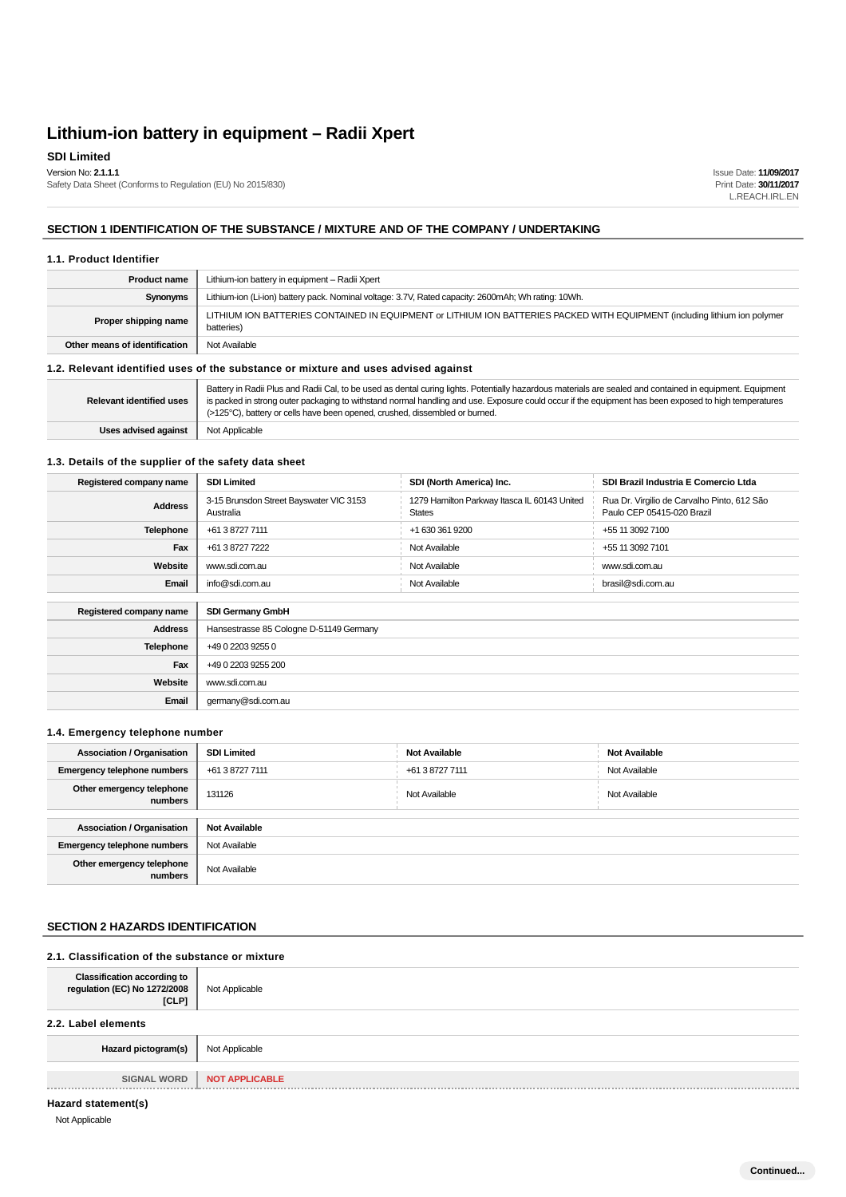## **SDI Limited**

Version No: **2.1.1.1**

Safety Data Sheet (Conforms to Regulation (EU) No 2015/830)

Issue Date: **11/09/2017** Print Date: **30/11/2017** L.REACH.IRL.EN

## **SECTION 1 IDENTIFICATION OF THE SUBSTANCE / MIXTURE AND OF THE COMPANY / UNDERTAKING**

#### **1.1. Product Identifier**

| <b>Product name</b>             | Lithium-ion battery in equipment - Radii Xpert                                                                                                                                                                                                                                                                                                                                                    |  |  |  |
|---------------------------------|---------------------------------------------------------------------------------------------------------------------------------------------------------------------------------------------------------------------------------------------------------------------------------------------------------------------------------------------------------------------------------------------------|--|--|--|
| Synonyms                        | Lithium-ion (Li-ion) battery pack. Nominal voltage: 3.7V, Rated capacity: 2600mAh; Wh rating: 10Wh.                                                                                                                                                                                                                                                                                               |  |  |  |
| Proper shipping name            | LITHIUM ION BATTERIES CONTAINED IN EQUIPMENT or LITHIUM ION BATTERIES PACKED WITH EQUIPMENT (including lithium ion polymer<br>batteries)                                                                                                                                                                                                                                                          |  |  |  |
| Other means of identification   | Not Available                                                                                                                                                                                                                                                                                                                                                                                     |  |  |  |
|                                 | 1.2. Relevant identified uses of the substance or mixture and uses advised against                                                                                                                                                                                                                                                                                                                |  |  |  |
| <b>Relevant identified uses</b> | Battery in Radii Plus and Radii Cal, to be used as dental curing lights. Potentially hazardous materials are sealed and contained in equipment. Equipment<br>is packed in strong outer packaging to withstand normal handling and use. Exposure could occur if the equipment has been exposed to high temperatures<br>(>125°C), battery or cells have been opened, crushed, dissembled or burned. |  |  |  |

### **1.3. Details of the supplier of the safety data sheet**

**Uses advised against** Not Applicable

| Registered company name | <b>SDI Limited</b>                                   | SDI (North America) Inc.                                      | SDI Brazil Industria E Comercio Ltda                                      |
|-------------------------|------------------------------------------------------|---------------------------------------------------------------|---------------------------------------------------------------------------|
| <b>Address</b>          | 3-15 Brunsdon Street Bayswater VIC 3153<br>Australia | 1279 Hamilton Parkway Itasca IL 60143 United<br><b>States</b> | Rua Dr. Virgilio de Carvalho Pinto, 612 São<br>Paulo CEP 05415-020 Brazil |
| <b>Telephone</b>        | +61 3 8727 7111                                      | +1 630 361 9200                                               | +55 11 3092 7100                                                          |
| Fax                     | +61 3 8727 7222                                      | Not Available                                                 | +55 11 3092 7101                                                          |
| Website                 | www.sdi.com.au                                       | Not Available                                                 | www.sdi.com.au                                                            |
| Email                   | info@sdi.com.au                                      | Not Available                                                 | brasil@sdi.com.au                                                         |
|                         |                                                      |                                                               |                                                                           |
| Registered company name | <b>SDI Germany GmbH</b>                              |                                                               |                                                                           |
| <b>Address</b>          | Hansestrasse 85 Cologne D-51149 Germany              |                                                               |                                                                           |
| <b>Telephone</b>        | +49 0 2203 9255 0                                    |                                                               |                                                                           |
| Fax                     | +49 0 2203 9255 200                                  |                                                               |                                                                           |
| Website                 | www.sdi.com.au                                       |                                                               |                                                                           |
| Email                   | germany@sdi.com.au                                   |                                                               |                                                                           |

#### **1.4. Emergency telephone number**

| <b>Association / Organisation</b>    | <b>SDI Limited</b>   | <b>Not Available</b> | <b>Not Available</b> |
|--------------------------------------|----------------------|----------------------|----------------------|
| <b>Emergency telephone numbers</b>   | +61 3 8727 7111      | +61 3 8727 7111      | Not Available        |
| Other emergency telephone<br>numbers | 131126               | Not Available        | Not Available        |
| <b>Association / Organisation</b>    | <b>Not Available</b> |                      |                      |
|                                      |                      |                      |                      |
| <b>Emergency telephone numbers</b>   | Not Available        |                      |                      |
| Other emergency telephone<br>numbers | Not Available        |                      |                      |

### **SECTION 2 HAZARDS IDENTIFICATION**

#### **2.1. Classification of the substance or mixture**

| Classification according to<br>regulation (EC) No 1272/2008<br>[CLP] | Not Applicable        |
|----------------------------------------------------------------------|-----------------------|
| 2.2. Label elements                                                  |                       |
| Hazard pictogram(s)                                                  | Not Applicable        |
| <b>SIGNAL WORD</b>                                                   | <b>NOT APPLICABLE</b> |

### **Hazard statement(s)**

Not Applicable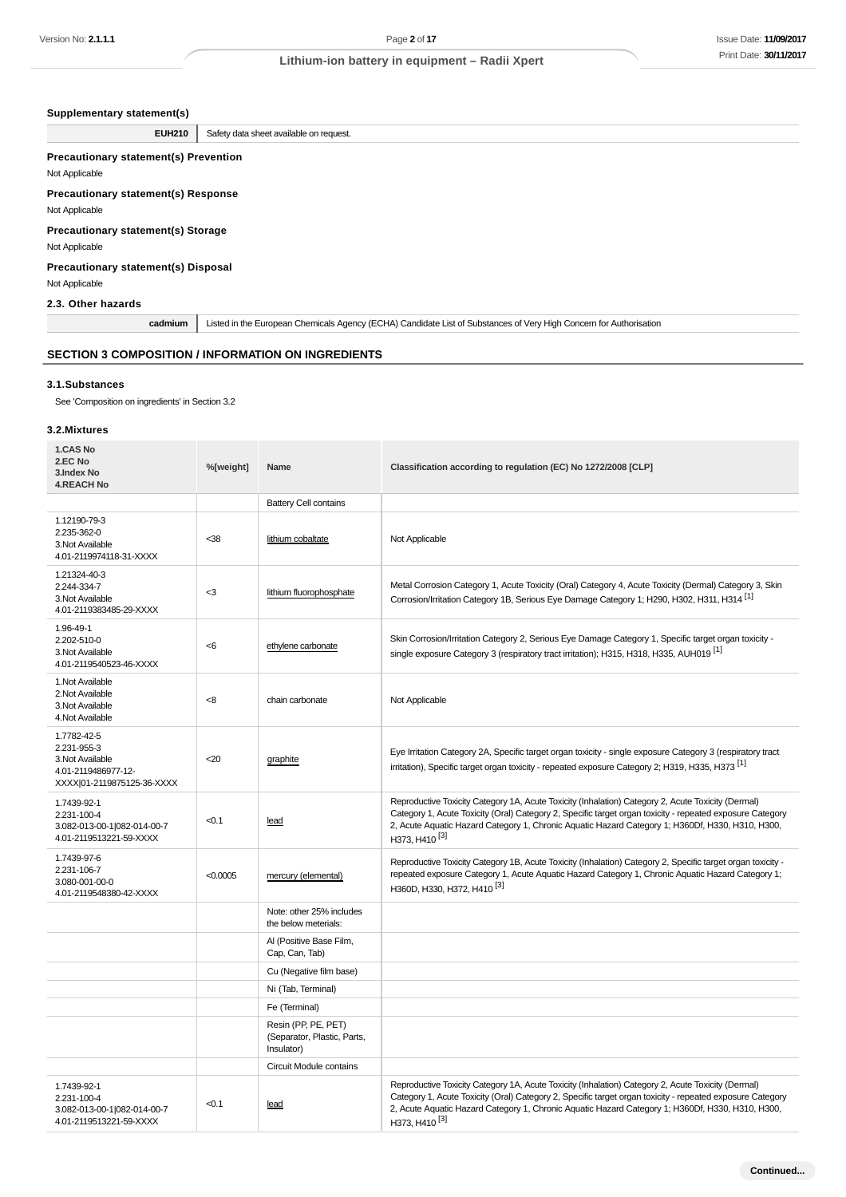### **Supplementary statement(s)**

## **Precautionary statement(s) Prevention** Not Applicable **Precautionary statement(s) Response** Not Applicable

## **Precautionary statement(s) Storage**

### **Precautionary statement(s) Disposal** Not Applicable

### **SECTION 3 COMPOSITION / INFORMATION ON INGREDIENTS**

#### **3.1.Substances**

### **3.2.Mixtures**

| Version No: <b>2.1.1.1</b>                                                                          |           |                                                                                   | Page 2 of 17                                                                                                                                                                                                                                                                                                                                     | <b>Issue Date: 11/09/201</b> |
|-----------------------------------------------------------------------------------------------------|-----------|-----------------------------------------------------------------------------------|--------------------------------------------------------------------------------------------------------------------------------------------------------------------------------------------------------------------------------------------------------------------------------------------------------------------------------------------------|------------------------------|
|                                                                                                     |           |                                                                                   | Lithium-ion battery in equipment - Radii Xpert                                                                                                                                                                                                                                                                                                   | Print Date: 30/11/201        |
|                                                                                                     |           |                                                                                   |                                                                                                                                                                                                                                                                                                                                                  |                              |
| Supplementary statement(s)                                                                          |           |                                                                                   |                                                                                                                                                                                                                                                                                                                                                  |                              |
| <b>EUH210</b>                                                                                       |           | Safety data sheet available on request.                                           |                                                                                                                                                                                                                                                                                                                                                  |                              |
| <b>Precautionary statement(s) Prevention</b><br>Not Applicable                                      |           |                                                                                   |                                                                                                                                                                                                                                                                                                                                                  |                              |
| <b>Precautionary statement(s) Response</b><br>Not Applicable                                        |           |                                                                                   |                                                                                                                                                                                                                                                                                                                                                  |                              |
| <b>Precautionary statement(s) Storage</b><br>Not Applicable                                         |           |                                                                                   |                                                                                                                                                                                                                                                                                                                                                  |                              |
| Precautionary statement(s) Disposal<br>Not Applicable                                               |           |                                                                                   |                                                                                                                                                                                                                                                                                                                                                  |                              |
| 2.3. Other hazards                                                                                  |           |                                                                                   |                                                                                                                                                                                                                                                                                                                                                  |                              |
| cadmium                                                                                             |           |                                                                                   | Listed in the European Chemicals Agency (ECHA) Candidate List of Substances of Very High Concern for Authorisation                                                                                                                                                                                                                               |                              |
| <b>SECTION 3 COMPOSITION / INFORMATION ON INGREDIENTS</b>                                           |           |                                                                                   |                                                                                                                                                                                                                                                                                                                                                  |                              |
| 3.1.Substances                                                                                      |           |                                                                                   |                                                                                                                                                                                                                                                                                                                                                  |                              |
| See 'Composition on ingredients' in Section 3.2                                                     |           |                                                                                   |                                                                                                                                                                                                                                                                                                                                                  |                              |
| 3.2.Mixtures                                                                                        |           |                                                                                   |                                                                                                                                                                                                                                                                                                                                                  |                              |
| 1.CAS No<br>2.EC No<br>3.Index No<br><b>4.REACH No</b>                                              | %[weight] | Name                                                                              | Classification according to regulation (EC) No 1272/2008 [CLP]                                                                                                                                                                                                                                                                                   |                              |
|                                                                                                     |           | <b>Battery Cell contains</b>                                                      |                                                                                                                                                                                                                                                                                                                                                  |                              |
| 1.12190-79-3<br>2.235-362-0<br>3. Not Available<br>4.01-2119974118-31-XXXX                          | $38$      | lithium cobaltate                                                                 | Not Applicable                                                                                                                                                                                                                                                                                                                                   |                              |
| 1.21324-40-3<br>2.244-334-7<br>3. Not Available<br>4.01-2119383485-29-XXXX                          | $3$       | lithium fluorophosphate                                                           | Metal Corrosion Category 1, Acute Toxicity (Oral) Category 4, Acute Toxicity (Dermal) Category 3, Skin<br>Corrosion/Irritation Category 1B, Serious Eye Damage Category 1; H290, H302, H311, H314 <sup>[1]</sup>                                                                                                                                 |                              |
| 1.96-49-1<br>2.202-510-0<br>3. Not Available<br>4.01-2119540523-46-XXXX                             | <6        | ethylene carbonate                                                                | Skin Corrosion/Irritation Category 2, Serious Eye Damage Category 1, Specific target organ toxicity -<br>single exposure Category 3 (respiratory tract irritation); H315, H318, H335, AUH019 <sup>[1]</sup>                                                                                                                                      |                              |
| 1. Not Available<br>2. Not Available<br>3. Not Available<br>4. Not Available                        | < 8       | chain carbonate                                                                   | Not Applicable                                                                                                                                                                                                                                                                                                                                   |                              |
| 1.7782-42-5<br>2.231-955-3<br>3. Not Available<br>4.01-2119486977-12-<br>XXXX 01-2119875125-36-XXXX | $20$      | graphite                                                                          | Eye Irritation Category 2A, Specific target organ toxicity - single exposure Category 3 (respiratory tract<br>irritation), Specific target organ toxicity - repeated exposure Category 2; H319, H335, H373 <sup>[1]</sup>                                                                                                                        |                              |
| 1.7439-92-1<br>2.231-100-4<br>3.082-013-00-1 082-014-00-7<br>4.01-2119513221-59-XXXX                | < 0.1     | lead                                                                              | Reproductive Toxicity Category 1A, Acute Toxicity (Inhalation) Category 2, Acute Toxicity (Dermal)<br>Category 1, Acute Toxicity (Oral) Category 2, Specific target organ toxicity - repeated exposure Category<br>2, Acute Aquatic Hazard Category 1, Chronic Aquatic Hazard Category 1; H360Df, H330, H310, H300,<br>H373, H410 <sup>[3]</sup> |                              |
| 1.7439-97-6<br>2.231-106-7<br>3.080-001-00-0<br>4.01-2119548380-42-XXXX                             | < 0.0005  | mercury (elemental)                                                               | Reproductive Toxicity Category 1B, Acute Toxicity (Inhalation) Category 2, Specific target organ toxicity -<br>repeated exposure Category 1, Acute Aquatic Hazard Category 1, Chronic Aquatic Hazard Category 1;<br>H360D, H330, H372, H410 <sup>[3]</sup>                                                                                       |                              |
|                                                                                                     |           | Note: other 25% includes<br>the below meterials:                                  |                                                                                                                                                                                                                                                                                                                                                  |                              |
|                                                                                                     |           | Al (Positive Base Film,<br>Cap, Can, Tab)                                         |                                                                                                                                                                                                                                                                                                                                                  |                              |
|                                                                                                     |           | Cu (Negative film base)                                                           |                                                                                                                                                                                                                                                                                                                                                  |                              |
|                                                                                                     |           | Ni (Tab, Terminal)                                                                |                                                                                                                                                                                                                                                                                                                                                  |                              |
|                                                                                                     |           | Fe (Terminal)<br>Resin (PP, PE, PET)<br>(Separator, Plastic, Parts,<br>Insulator) |                                                                                                                                                                                                                                                                                                                                                  |                              |
|                                                                                                     |           | Circuit Module contains                                                           |                                                                                                                                                                                                                                                                                                                                                  |                              |
| 1.7439-92-1<br>2.231-100-4<br>3.082-013-00-1 082-014-00-7<br>4.01-2119513221-59-XXXX                | < 0.1     | lead                                                                              | Reproductive Toxicity Category 1A, Acute Toxicity (Inhalation) Category 2, Acute Toxicity (Dermal)<br>Category 1, Acute Toxicity (Oral) Category 2, Specific target organ toxicity - repeated exposure Category<br>2, Acute Aquatic Hazard Category 1, Chronic Aquatic Hazard Category 1; H360Df, H330, H310, H300,<br>H373, H410 <sup>[3]</sup> |                              |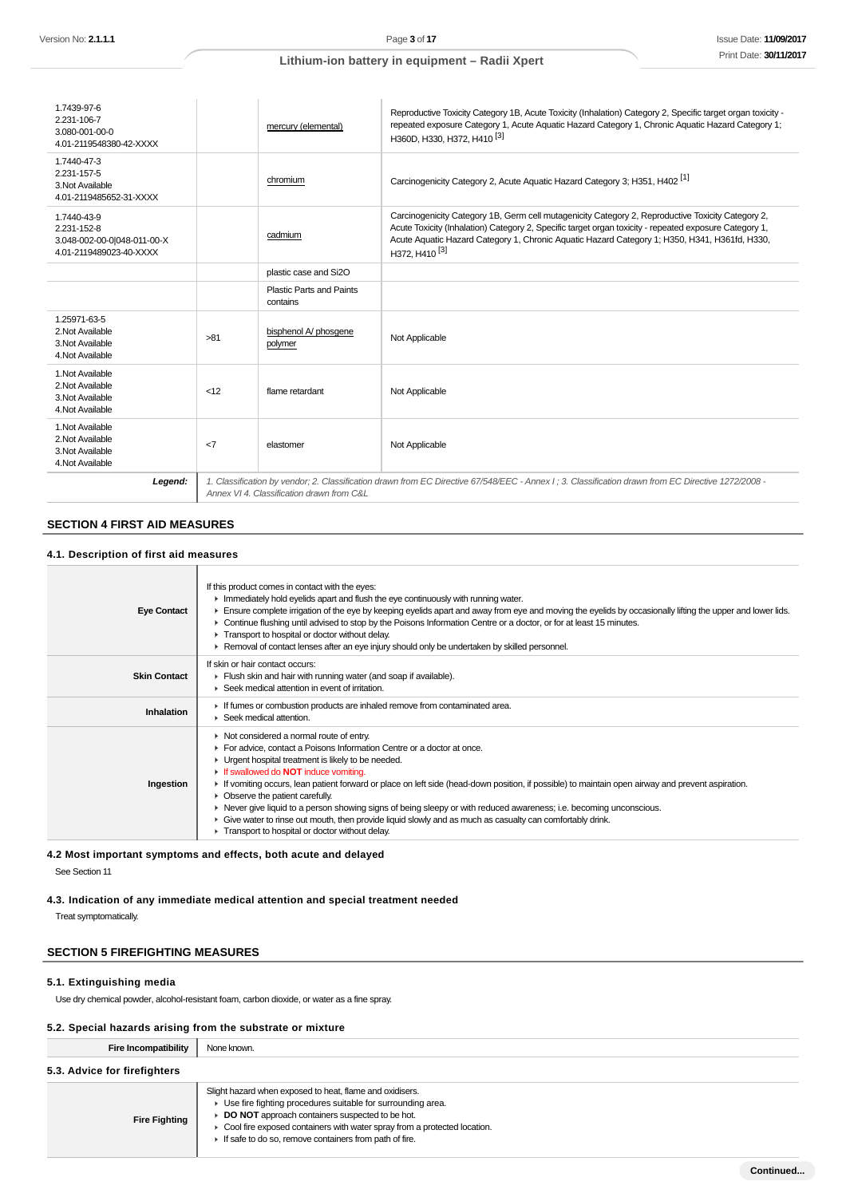| 1.7439-97-6<br>2.231-106-7<br>3.080-001-00-0<br>4.01-2119548380-42-XXXX              |              | mercury (elemental)                       | Reproductive Toxicity Category 1B, Acute Toxicity (Inhalation) Category 2, Specific target organ toxicity -<br>repeated exposure Category 1, Acute Aquatic Hazard Category 1, Chronic Aquatic Hazard Category 1;<br>H360D, H330, H372, H410 <sup>[3]</sup>                                                                                |
|--------------------------------------------------------------------------------------|--------------|-------------------------------------------|-------------------------------------------------------------------------------------------------------------------------------------------------------------------------------------------------------------------------------------------------------------------------------------------------------------------------------------------|
| 1.7440-47-3<br>2.231-157-5<br>3. Not Available<br>4.01-2119485652-31-XXXX            |              | chromium                                  | Carcinogenicity Category 2, Acute Aquatic Hazard Category 3; H351, H402 <sup>[1]</sup>                                                                                                                                                                                                                                                    |
| 1.7440-43-9<br>2.231-152-8<br>3.048-002-00-0 048-011-00-X<br>4.01-2119489023-40-XXXX |              | cadmium                                   | Carcinogenicity Category 1B, Germ cell mutagenicity Category 2, Reproductive Toxicity Category 2,<br>Acute Toxicity (Inhalation) Category 2, Specific target organ toxicity - repeated exposure Category 1,<br>Acute Aquatic Hazard Category 1, Chronic Aquatic Hazard Category 1; H350, H341, H361fd, H330,<br>H372, H410 <sup>[3]</sup> |
|                                                                                      |              | plastic case and Si2O                     |                                                                                                                                                                                                                                                                                                                                           |
|                                                                                      |              | Plastic Parts and Paints<br>contains      |                                                                                                                                                                                                                                                                                                                                           |
| 1.25971-63-5<br>2. Not Available<br>3. Not Available<br>4. Not Available             | >81          | bisphenol A/ phosgene<br>polymer          | Not Applicable                                                                                                                                                                                                                                                                                                                            |
| 1. Not Available<br>2. Not Available<br>3. Not Available<br>4. Not Available         | <12          | flame retardant                           | Not Applicable                                                                                                                                                                                                                                                                                                                            |
| 1. Not Available<br>2. Not Available<br>3. Not Available<br>4. Not Available         | $\epsilon$ 7 | elastomer                                 | Not Applicable                                                                                                                                                                                                                                                                                                                            |
| Legend:                                                                              |              | Annex VI 4. Classification drawn from C&L | 1. Classification by vendor; 2. Classification drawn from EC Directive 67/548/EEC - Annex I; 3. Classification drawn from EC Directive 1272/2008 -                                                                                                                                                                                        |

## **SECTION 4 FIRST AID MEASURES**

### **4.1. Description of first aid measures**

| <b>Eye Contact</b>  | If this product comes in contact with the eyes:<br>$\blacktriangleright$ Immediately hold eyelids apart and flush the eye continuously with running water.<br>Ensure complete irrigation of the eye by keeping eyelids apart and away from eye and moving the eyelids by occasionally lifting the upper and lower lids.<br>► Continue flushing until advised to stop by the Poisons Information Centre or a doctor, or for at least 15 minutes.<br>Transport to hospital or doctor without delay.<br>▶ Removal of contact lenses after an eye injury should only be undertaken by skilled personnel.                                                                                                  |
|---------------------|-------------------------------------------------------------------------------------------------------------------------------------------------------------------------------------------------------------------------------------------------------------------------------------------------------------------------------------------------------------------------------------------------------------------------------------------------------------------------------------------------------------------------------------------------------------------------------------------------------------------------------------------------------------------------------------------------------|
| <b>Skin Contact</b> | If skin or hair contact occurs:<br>Flush skin and hair with running water (and soap if available).<br>▶ Seek medical attention in event of irritation.                                                                                                                                                                                                                                                                                                                                                                                                                                                                                                                                                |
| Inhalation          | If fumes or combustion products are inhaled remove from contaminated area.<br>Seek medical attention.                                                                                                                                                                                                                                                                                                                                                                                                                                                                                                                                                                                                 |
| Ingestion           | • Not considered a normal route of entry.<br>For advice, contact a Poisons Information Centre or a doctor at once.<br>• Urgent hospital treatment is likely to be needed.<br>If swallowed do <b>NOT</b> induce vomiting.<br>If vomiting occurs, lean patient forward or place on left side (head-down position, if possible) to maintain open airway and prevent aspiration.<br>• Observe the patient carefully.<br>► Never give liquid to a person showing signs of being sleepy or with reduced awareness; i.e. becoming unconscious.<br>Give water to rinse out mouth, then provide liquid slowly and as much as casualty can comfortably drink.<br>Transport to hospital or doctor without delay. |

# **4.2 Most important symptoms and effects, both acute and delayed**

See Section 11

# **4.3. Indication of any immediate medical attention and special treatment needed**

Treat symptomatically.

## **SECTION 5 FIREFIGHTING MEASURES**

#### **5.1. Extinguishing media**

Use dry chemical powder, alcohol-resistant foam, carbon dioxide, or water as a fine spray.

#### **5.2. Special hazards arising from the substrate or mixture**

| Fire Incompatibility         | None known.                                                                                                                                                                                                                                                                                                          |
|------------------------------|----------------------------------------------------------------------------------------------------------------------------------------------------------------------------------------------------------------------------------------------------------------------------------------------------------------------|
| 5.3. Advice for firefighters |                                                                                                                                                                                                                                                                                                                      |
| <b>Fire Fighting</b>         | Slight hazard when exposed to heat, flame and oxidisers.<br>• Use fire fighting procedures suitable for surrounding area.<br>DO NOT approach containers suspected to be hot.<br>• Cool fire exposed containers with water spray from a protected location.<br>If safe to do so, remove containers from path of fire. |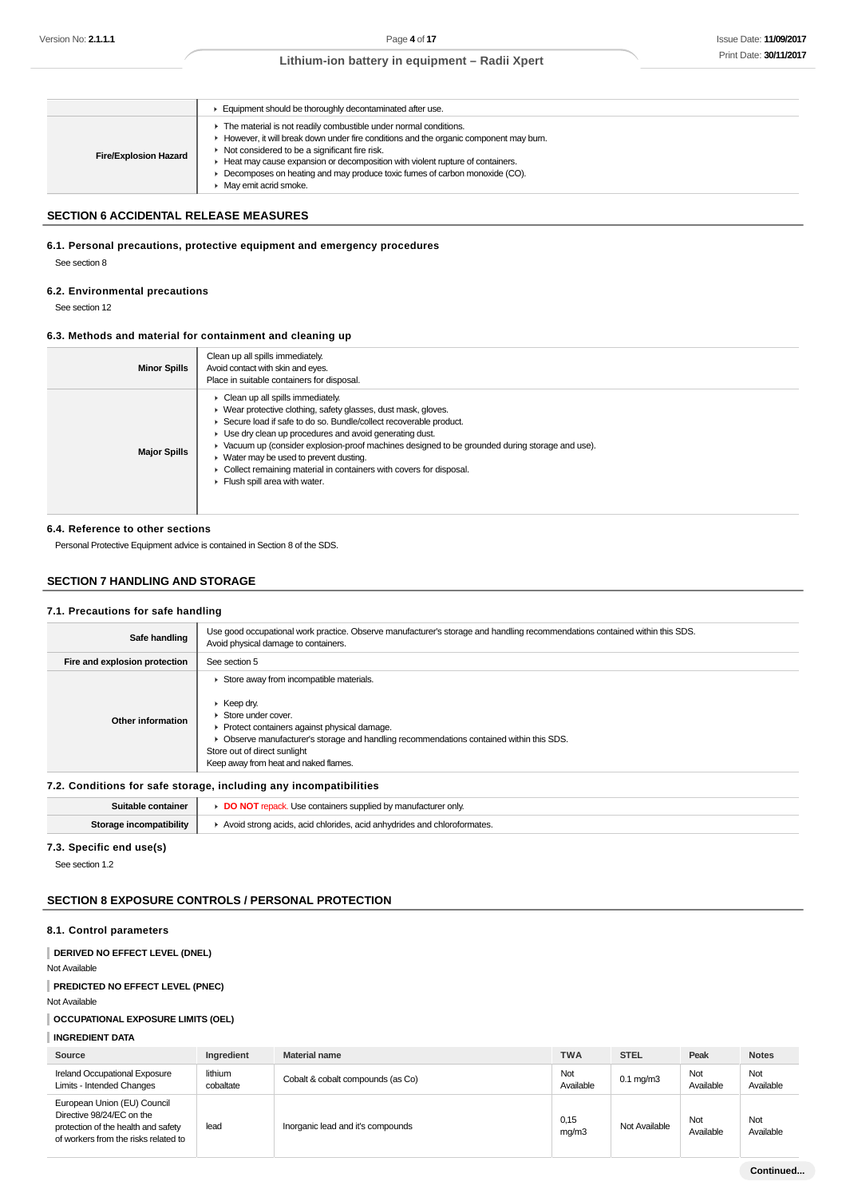|                              | Equipment should be thoroughly decontaminated after use.                                                                                                                                                                                                                                                                                                                                                 |
|------------------------------|----------------------------------------------------------------------------------------------------------------------------------------------------------------------------------------------------------------------------------------------------------------------------------------------------------------------------------------------------------------------------------------------------------|
| <b>Fire/Explosion Hazard</b> | The material is not readily combustible under normal conditions.<br>► However, it will break down under fire conditions and the organic component may burn.<br>Not considered to be a significant fire risk.<br>► Heat may cause expansion or decomposition with violent rupture of containers.<br>• Decomposes on heating and may produce toxic fumes of carbon monoxide (CO).<br>May emit acrid smoke. |

### **SECTION 6 ACCIDENTAL RELEASE MEASURES**

### **6.1. Personal precautions, protective equipment and emergency procedures**

See section 8

#### **6.2. Environmental precautions**

See section 12

### **6.3. Methods and material for containment and cleaning up**

| <b>Minor Spills</b> | Clean up all spills immediately.<br>Avoid contact with skin and eyes.<br>Place in suitable containers for disposal.                                                                                                                                                                                                                                                                                                                                                                                                            |
|---------------------|--------------------------------------------------------------------------------------------------------------------------------------------------------------------------------------------------------------------------------------------------------------------------------------------------------------------------------------------------------------------------------------------------------------------------------------------------------------------------------------------------------------------------------|
| <b>Major Spills</b> | $\triangleright$ Clean up all spills immediately.<br>▶ Wear protective clothing, safety glasses, dust mask, gloves.<br>Secure load if safe to do so. Bundle/collect recoverable product.<br>• Use dry clean up procedures and avoid generating dust.<br>► Vacuum up (consider explosion-proof machines designed to be grounded during storage and use).<br>$\blacktriangleright$ Water may be used to prevent dusting.<br>• Collect remaining material in containers with covers for disposal.<br>Flush spill area with water. |

#### **6.4. Reference to other sections**

Personal Protective Equipment advice is contained in Section 8 of the SDS.

### **SECTION 7 HANDLING AND STORAGE**

#### **7.1. Precautions for safe handling**

| Safe handling                 | Use good occupational work practice. Observe manufacturer's storage and handling recommendations contained within this SDS.<br>Avoid physical damage to containers.                                                                                                                                             |
|-------------------------------|-----------------------------------------------------------------------------------------------------------------------------------------------------------------------------------------------------------------------------------------------------------------------------------------------------------------|
| Fire and explosion protection | See section 5                                                                                                                                                                                                                                                                                                   |
| Other information             | Store away from incompatible materials.<br>$\triangleright$ Keep dry.<br>Store under cover.<br>▶ Protect containers against physical damage.<br>Observe manufacturer's storage and handling recommendations contained within this SDS.<br>Store out of direct sunlight<br>Keep away from heat and naked flames. |

### **7.2. Conditions for safe storage, including any incompatibilities**

| ntainer                     | Use containers supplied by                                            |
|-----------------------------|-----------------------------------------------------------------------|
| e nit                       | ≎turer onlv.                                                          |
| . incompatibility<br>Storac | acid chlorides, acid anhydrides and<br>hloroformates.<br>Avoid strong |

### **7.3. Specific end use(s)**

See section 1.2

### **SECTION 8 EXPOSURE CONTROLS / PERSONAL PROTECTION**

### **8.1. Control parameters**

**DERIVED NO EFFECT LEVEL (DNEL)**

#### Not Available

### **PREDICTED NO EFFECT LEVEL (PNEC)**

Not Available

## **OCCUPATIONAL EXPOSURE LIMITS (OEL)**

**INGREDIENT DATA**

| Source                                                                                                                                  | Ingredient           | <b>Material name</b>              | <b>TWA</b>       | <b>STEL</b>    | Peak             | <b>Notes</b>     |
|-----------------------------------------------------------------------------------------------------------------------------------------|----------------------|-----------------------------------|------------------|----------------|------------------|------------------|
| <b>Ireland Occupational Exposure</b><br>Limits - Intended Changes                                                                       | lithium<br>cobaltate | Cobalt & cobalt compounds (as Co) | Not<br>Available | $0.1$ mg/m $3$ | Not<br>Available | Not<br>Available |
| European Union (EU) Council<br>Directive 98/24/EC on the<br>protection of the health and safety<br>of workers from the risks related to | lead                 | Inorganic lead and it's compounds | 0,15<br>mq/m3    | Not Available  | Not<br>Available | Not<br>Available |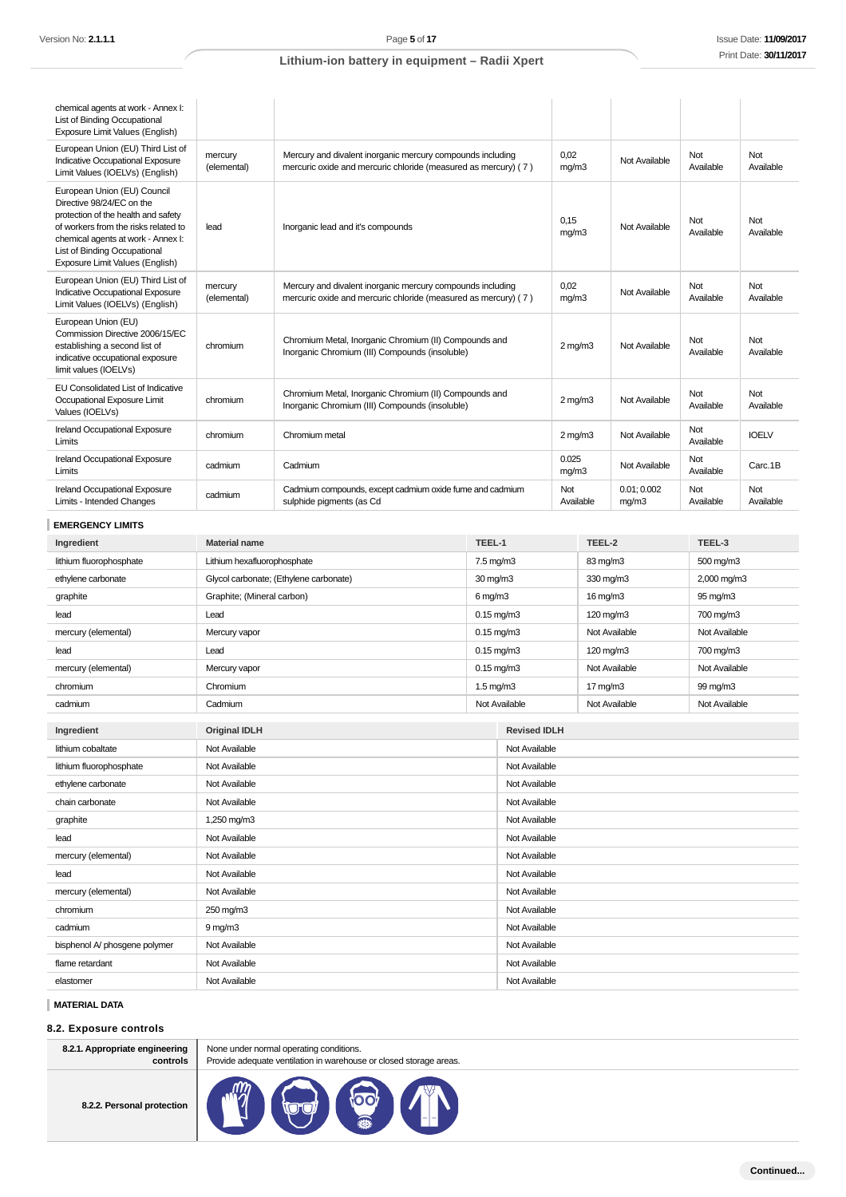| chemical agents at work - Annex I:<br>List of Binding Occupational<br>Exposure Limit Values (English)                                                                                                                                            |                        |                                                                                                                              |  |                  |                      |                  |                  |
|--------------------------------------------------------------------------------------------------------------------------------------------------------------------------------------------------------------------------------------------------|------------------------|------------------------------------------------------------------------------------------------------------------------------|--|------------------|----------------------|------------------|------------------|
| European Union (EU) Third List of<br>Indicative Occupational Exposure<br>Limit Values (IOELVs) (English)                                                                                                                                         | mercury<br>(elemental) | Mercury and divalent inorganic mercury compounds including<br>mercuric oxide and mercuric chloride (measured as mercury) (7) |  | 0,02<br>mq/m3    | Not Available        | Not<br>Available | Not<br>Available |
| European Union (EU) Council<br>Directive 98/24/EC on the<br>protection of the health and safety<br>of workers from the risks related to<br>chemical agents at work - Annex I:<br>List of Binding Occupational<br>Exposure Limit Values (English) | lead                   | Inorganic lead and it's compounds                                                                                            |  | 0.15<br>mg/m3    | Not Available        | Not<br>Available | Not<br>Available |
| European Union (EU) Third List of<br>Indicative Occupational Exposure<br>Limit Values (IOELVs) (English)                                                                                                                                         | mercury<br>(elemental) | Mercury and divalent inorganic mercury compounds including<br>mercuric oxide and mercuric chloride (measured as mercury) (7) |  | 0,02<br>mg/m3    | Not Available        | Not<br>Available | Not<br>Available |
| European Union (EU)<br>Commission Directive 2006/15/EC<br>establishing a second list of<br>indicative occupational exposure<br>limit values (IOELVs)                                                                                             | chromium               | Chromium Metal, Inorganic Chromium (II) Compounds and<br>Inorganic Chromium (III) Compounds (insoluble)                      |  | $2 \text{ mg/m}$ | Not Available        | Not<br>Available | Not<br>Available |
| EU Consolidated List of Indicative<br>Occupational Exposure Limit<br>Values (IOELVs)                                                                                                                                                             | chromium               | Chromium Metal, Inorganic Chromium (II) Compounds and<br>Inorganic Chromium (III) Compounds (insoluble)                      |  | $2$ mg/m $3$     | Not Available        | Not<br>Available | Not<br>Available |
| Ireland Occupational Exposure<br>Limits                                                                                                                                                                                                          | chromium               | Chromium metal                                                                                                               |  | $2$ mg/m $3$     | Not Available        | Not<br>Available | <b>IOELV</b>     |
| Ireland Occupational Exposure<br>Limits                                                                                                                                                                                                          | cadmium                | Cadmium                                                                                                                      |  | 0.025<br>mq/m3   | Not Available        | Not<br>Available | Carc.1B          |
| Ireland Occupational Exposure<br>Limits - Intended Changes                                                                                                                                                                                       | cadmium                | Cadmium compounds, except cadmium oxide fume and cadmium<br>sulphide pigments (as Cd                                         |  | Not<br>Available | 0.01; 0.002<br>mq/m3 | Not<br>Available | Not<br>Available |
| <b>EMERGENCY LIMITS</b>                                                                                                                                                                                                                          |                        |                                                                                                                              |  |                  |                      |                  |                  |
| Ingredient                                                                                                                                                                                                                                       | <b>Material name</b>   |                                                                                                                              |  | TEEL-2           |                      | TEEL-3           |                  |

| lithium fluorophosphate | Lithium hexafluorophosphate            | 7.5 mg/m3            |                     | 83 mg/m3           | 500 mg/m3     |
|-------------------------|----------------------------------------|----------------------|---------------------|--------------------|---------------|
| ethylene carbonate      | Glycol carbonate; (Ethylene carbonate) | 30 mg/m3             |                     | 330 mg/m3          | 2,000 mg/m3   |
| graphite                | Graphite; (Mineral carbon)             | $6$ mg/m $3$         |                     | $16 \text{ mg/m}$  | 95 mg/m3      |
| lead                    | Lead                                   |                      | $0.15$ mg/m $3$     | $120 \text{ mg/m}$ | 700 mg/m3     |
| mercury (elemental)     | Mercury vapor                          |                      | $0.15$ mg/m $3$     | Not Available      | Not Available |
| lead                    | Lead                                   |                      | $0.15$ mg/m $3$     | 120 mg/m3          | 700 mg/m3     |
| mercury (elemental)     | Mercury vapor                          |                      | $0.15$ mg/m $3$     | Not Available      | Not Available |
| chromium                | Chromium                               | $1.5 \text{ mg/m}$ 3 |                     | $17 \text{ mg/m}$  | 99 mg/m3      |
| cadmium                 | Cadmium                                |                      | Not Available       | Not Available      | Not Available |
|                         |                                        |                      |                     |                    |               |
| Ingredient              | <b>Original IDLH</b>                   |                      | <b>Revised IDLH</b> |                    |               |
| lithium cobaltate       | Not Available                          |                      | Not Available       |                    |               |
| lithium fluorophosphate | Not Available                          |                      | Not Available       |                    |               |
| ethylene carbonate      | Not Available                          |                      | Not Available       |                    |               |
| chain carbonate         | Not Available                          |                      | Not Available       |                    |               |
| graphite                | 1,250 mg/m3                            |                      | Not Available       |                    |               |
| lead                    | Not Available                          |                      | Not Available       |                    |               |
| mercury (elemental)     | Not Available                          |                      | Not Available       |                    |               |
| lead                    | Not Available                          |                      | Not Available       |                    |               |
| mercury (elemental)     | Not Available                          |                      | Not Available       |                    |               |
|                         |                                        |                      |                     |                    |               |

**MATERIAL DATA**

### **8.2. Exposure controls**

| 8.2.1. Appropriate engineering<br>controls |  |  |  |
|--------------------------------------------|--|--|--|
| 8.2.2. Personal protection                 |  |  |  |

None under normal operating conditions. Provide adequate ventilation in warehouse or closed storage areas.

chromium 250 mg/m3 250 mg/m3 Not Available cadmium 9 mg/m3 9 mg/m3 bisphenol A/ phosgene polymer Not Available Not Available Not Available Not Available Not Available flame retardant Not Available Not Available Not Available Not Available Not Available elastomer Not Available Not Available Not Available Not Available Not Available

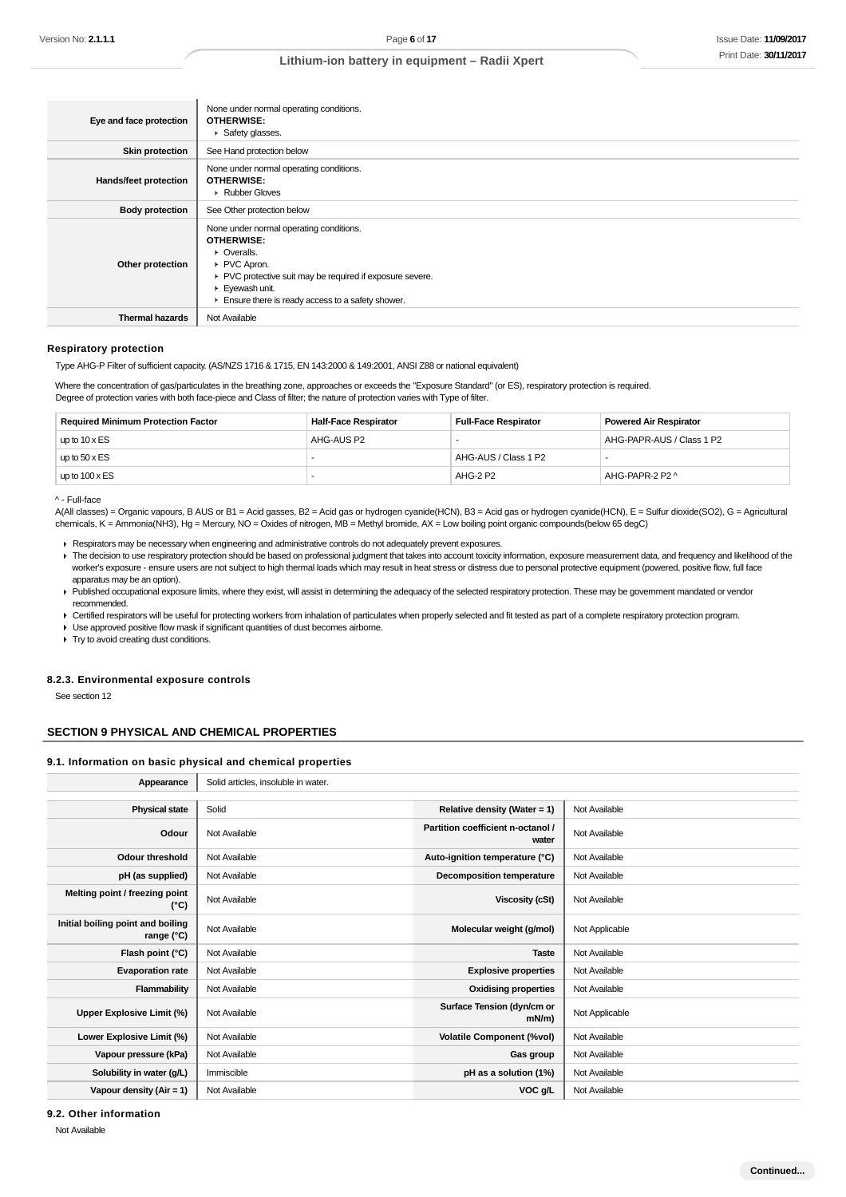| Eye and face protection      | None under normal operating conditions.<br><b>OTHERWISE:</b><br>Safety glasses.                                                                                                                                                                   |
|------------------------------|---------------------------------------------------------------------------------------------------------------------------------------------------------------------------------------------------------------------------------------------------|
| <b>Skin protection</b>       | See Hand protection below                                                                                                                                                                                                                         |
| <b>Hands/feet protection</b> | None under normal operating conditions.<br><b>OTHERWISE:</b><br>▶ Rubber Gloves                                                                                                                                                                   |
| <b>Body protection</b>       | See Other protection below                                                                                                                                                                                                                        |
| Other protection             | None under normal operating conditions.<br><b>OTHERWISE:</b><br>• Overalls.<br>PVC Apron.<br>▶ PVC protective suit may be required if exposure severe.<br>Eyewash unit.<br>$\blacktriangleright$ Ensure there is ready access to a safety shower. |
| <b>Thermal hazards</b>       | Not Available                                                                                                                                                                                                                                     |

#### **Respiratory protection**

Type AHG-P Filter of sufficient capacity. (AS/NZS 1716 & 1715, EN 143:2000 & 149:2001, ANSI Z88 or national equivalent)

Where the concentration of gas/particulates in the breathing zone, approaches or exceeds the "Exposure Standard" (or ES), respiratory protection is required. Degree of protection varies with both face-piece and Class of filter; the nature of protection varies with Type of filter.

| <b>Required Minimum Protection Factor</b> | <b>Half-Face Respirator</b> | <b>Full-Face Respirator</b> | <b>Powered Air Respirator</b> |
|-------------------------------------------|-----------------------------|-----------------------------|-------------------------------|
| up to $10 \times ES$                      | AHG-AUS P2                  |                             | AHG-PAPR-AUS / Class 1 P2     |
| up to $50 \times ES$                      |                             | AHG-AUS / Class 1 P2        |                               |
| up to $100 \times ES$                     |                             | AHG-2 P2                    | AHG-PAPR-2 P2 ^               |

^ - Full-face

A(All classes) = Organic vapours, B AUS or B1 = Acid gasses, B2 = Acid gas or hydrogen cyanide(HCN), B3 = Acid gas or hydrogen cyanide(HCN), E = Sulfur dioxide(SO2), G = Agricultural chemicals, K = Ammonia(NH3), Hg = Mercury, NO = Oxides of nitrogen, MB = Methyl bromide, AX = Low boiling point organic compounds(below 65 degC)

- Respirators may be necessary when engineering and administrative controls do not adequately prevent exposures.
- The decision to use respiratory protection should be based on professional judgment that takes into account toxicity information, exposure measurement data, and frequency and likelihood of the worker's exposure - ensure users are not subject to high thermal loads which may result in heat stress or distress due to personal protective equipment (powered, positive flow, full face apparatus may be an option).
- Published occupational exposure limits, where they exist, will assist in determining the adequacy of the selected respiratory protection. These may be government mandated or vendor recommended.
- Certified respirators will be useful for protecting workers from inhalation of particulates when properly selected and fit tested as part of a complete respiratory protection program.
- Use approved positive flow mask if significant quantities of dust becomes airborne.

**Try to avoid creating dust conditions.** 

#### **8.2.3. Environmental exposure controls**

See section 12

#### **SECTION 9 PHYSICAL AND CHEMICAL PROPERTIES**

#### **9.1. Information on basic physical and chemical properties**

| Appearance                                      | Solid articles, insoluble in water. |                                            |                |
|-------------------------------------------------|-------------------------------------|--------------------------------------------|----------------|
|                                                 |                                     |                                            |                |
| <b>Physical state</b>                           | Solid                               | Relative density (Water = 1)               | Not Available  |
| Odour                                           | Not Available                       | Partition coefficient n-octanol /<br>water | Not Available  |
| <b>Odour threshold</b>                          | Not Available                       | Auto-ignition temperature (°C)             | Not Available  |
| pH (as supplied)                                | Not Available                       | <b>Decomposition temperature</b>           | Not Available  |
| Melting point / freezing point<br>$(^{\circ}C)$ | Not Available                       | Viscosity (cSt)                            | Not Available  |
| Initial boiling point and boiling<br>range (°C) | Not Available                       | Molecular weight (g/mol)                   | Not Applicable |
| Flash point (°C)                                | Not Available                       | <b>Taste</b>                               | Not Available  |
| <b>Evaporation rate</b>                         | Not Available                       | <b>Explosive properties</b>                | Not Available  |
| Flammability                                    | Not Available                       | <b>Oxidising properties</b>                | Not Available  |
| Upper Explosive Limit (%)                       | Not Available                       | Surface Tension (dyn/cm or<br>mN/m)        | Not Applicable |
| Lower Explosive Limit (%)                       | Not Available                       | <b>Volatile Component (%vol)</b>           | Not Available  |
| Vapour pressure (kPa)                           | Not Available                       | Gas group                                  | Not Available  |
| Solubility in water (g/L)                       | Immiscible                          | pH as a solution (1%)                      | Not Available  |
| Vapour density $(Air = 1)$                      | Not Available                       | VOC g/L                                    | Not Available  |
|                                                 |                                     |                                            |                |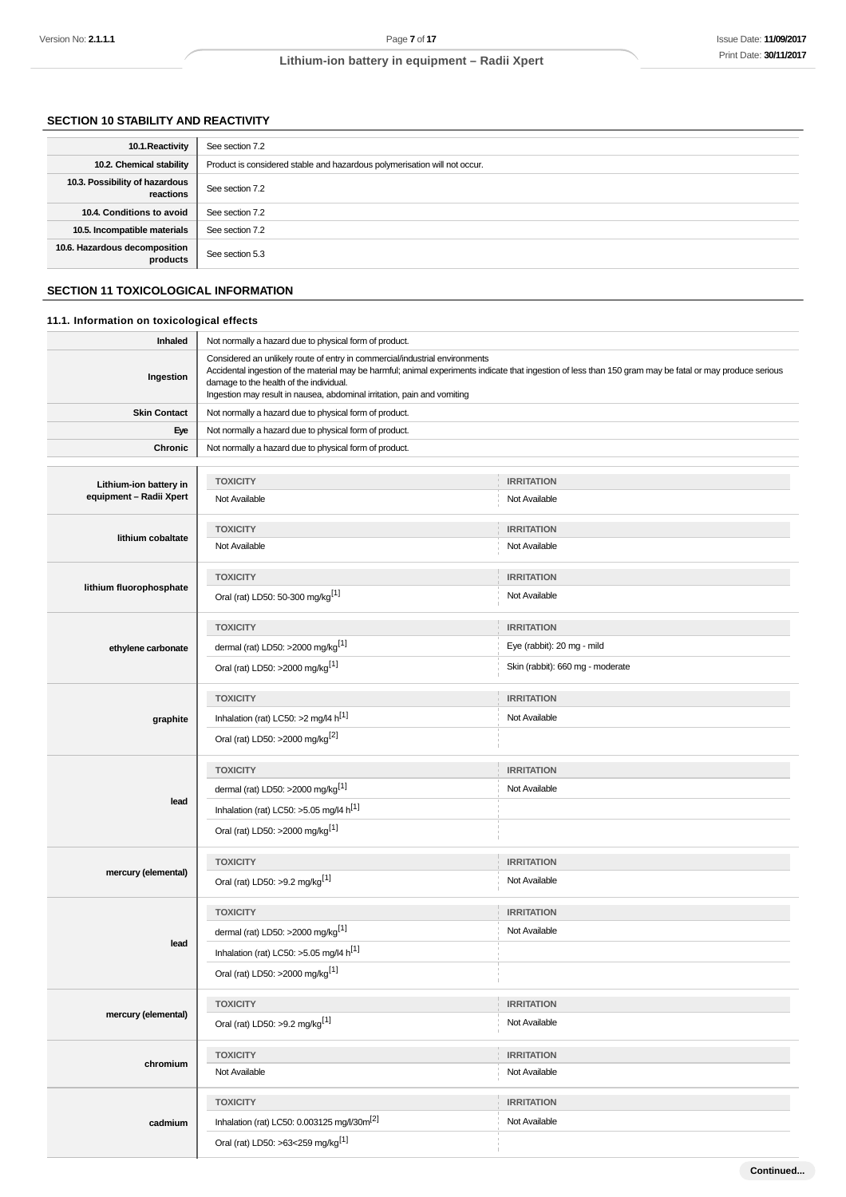**Continued...**

## **Lithium-ion battery in equipment – Radii Xpert**

## **SECTION 10 STABILITY AND REACTIVITY**

| 10.1. Reactivity                            | See section 7.2                                                           |
|---------------------------------------------|---------------------------------------------------------------------------|
| 10.2. Chemical stability                    | Product is considered stable and hazardous polymerisation will not occur. |
| 10.3. Possibility of hazardous<br>reactions | See section 7.2                                                           |
| 10.4. Conditions to avoid                   | See section 7.2                                                           |
| 10.5. Incompatible materials                | See section 7.2                                                           |
| 10.6. Hazardous decomposition<br>products   | See section 5.3                                                           |

## **SECTION 11 TOXICOLOGICAL INFORMATION**

## **11.1. Information on toxicological effects**

| <b>Inhaled</b>          | Not normally a hazard due to physical form of product.                                                                                                                                                                                                                                                                                                         |                                  |  |  |
|-------------------------|----------------------------------------------------------------------------------------------------------------------------------------------------------------------------------------------------------------------------------------------------------------------------------------------------------------------------------------------------------------|----------------------------------|--|--|
| Ingestion               | Considered an unlikely route of entry in commercial/industrial environments<br>Accidental ingestion of the material may be harmful; animal experiments indicate that ingestion of less than 150 gram may be fatal or may produce serious<br>damage to the health of the individual.<br>Ingestion may result in nausea, abdominal irritation, pain and vomiting |                                  |  |  |
| <b>Skin Contact</b>     | Not normally a hazard due to physical form of product.                                                                                                                                                                                                                                                                                                         |                                  |  |  |
| Eye                     | Not normally a hazard due to physical form of product.                                                                                                                                                                                                                                                                                                         |                                  |  |  |
| Chronic                 | Not normally a hazard due to physical form of product.                                                                                                                                                                                                                                                                                                         |                                  |  |  |
|                         |                                                                                                                                                                                                                                                                                                                                                                |                                  |  |  |
| Lithium-ion battery in  | <b>TOXICITY</b>                                                                                                                                                                                                                                                                                                                                                | <b>IRRITATION</b>                |  |  |
| equipment - Radii Xpert | Not Available                                                                                                                                                                                                                                                                                                                                                  | Not Available                    |  |  |
|                         | <b>TOXICITY</b>                                                                                                                                                                                                                                                                                                                                                | <b>IRRITATION</b>                |  |  |
| lithium cobaltate       | Not Available                                                                                                                                                                                                                                                                                                                                                  | Not Available                    |  |  |
|                         |                                                                                                                                                                                                                                                                                                                                                                |                                  |  |  |
| lithium fluorophosphate | <b>TOXICITY</b>                                                                                                                                                                                                                                                                                                                                                | <b>IRRITATION</b>                |  |  |
|                         | Oral (rat) LD50: 50-300 mg/kg <sup>[1]</sup>                                                                                                                                                                                                                                                                                                                   | Not Available                    |  |  |
|                         |                                                                                                                                                                                                                                                                                                                                                                |                                  |  |  |
|                         | <b>TOXICITY</b>                                                                                                                                                                                                                                                                                                                                                | <b>IRRITATION</b>                |  |  |
| ethylene carbonate      | dermal (rat) LD50: >2000 mg/kg <sup>[1]</sup>                                                                                                                                                                                                                                                                                                                  | Eye (rabbit): 20 mg - mild       |  |  |
|                         | Oral (rat) LD50: >2000 mg/kg <sup>[1]</sup>                                                                                                                                                                                                                                                                                                                    | Skin (rabbit): 660 mg - moderate |  |  |
|                         | <b>TOXICITY</b>                                                                                                                                                                                                                                                                                                                                                | <b>IRRITATION</b>                |  |  |
| graphite                | Inhalation (rat) LC50: >2 mg/l4 h <sup>[1]</sup>                                                                                                                                                                                                                                                                                                               | Not Available                    |  |  |
|                         | Oral (rat) LD50: >2000 mg/kg <sup>[2]</sup>                                                                                                                                                                                                                                                                                                                    |                                  |  |  |
|                         |                                                                                                                                                                                                                                                                                                                                                                |                                  |  |  |
|                         | <b>TOXICITY</b>                                                                                                                                                                                                                                                                                                                                                | <b>IRRITATION</b>                |  |  |
|                         | dermal (rat) LD50: >2000 mg/kg <sup>[1]</sup>                                                                                                                                                                                                                                                                                                                  | Not Available                    |  |  |
| lead                    | Inhalation (rat) LC50: >5.05 mg/l4 h <sup>[1]</sup>                                                                                                                                                                                                                                                                                                            |                                  |  |  |
|                         | Oral (rat) LD50: >2000 mg/kg <sup>[1]</sup>                                                                                                                                                                                                                                                                                                                    |                                  |  |  |
|                         |                                                                                                                                                                                                                                                                                                                                                                |                                  |  |  |
| mercury (elemental)     | <b>TOXICITY</b>                                                                                                                                                                                                                                                                                                                                                | <b>IRRITATION</b>                |  |  |
|                         | Oral (rat) LD50: >9.2 mg/kg <sup>[1]</sup>                                                                                                                                                                                                                                                                                                                     | Not Available                    |  |  |
|                         | <b>TOXICITY</b>                                                                                                                                                                                                                                                                                                                                                | <b>IRRITATION</b>                |  |  |
|                         | dermal (rat) LD50: >2000 mg/kg <sup>[1]</sup>                                                                                                                                                                                                                                                                                                                  | Not Available                    |  |  |
| lead                    | Inhalation (rat) LC50: >5.05 mg/l4 h <sup>[1]</sup>                                                                                                                                                                                                                                                                                                            |                                  |  |  |
|                         |                                                                                                                                                                                                                                                                                                                                                                |                                  |  |  |
|                         | Oral (rat) LD50: >2000 mg/kg <sup>[1]</sup>                                                                                                                                                                                                                                                                                                                    | U.                               |  |  |
|                         | <b>TOXICITY</b>                                                                                                                                                                                                                                                                                                                                                | <b>IRRITATION</b>                |  |  |
| mercury (elemental)     | Oral (rat) LD50: >9.2 mg/kg <sup>[1]</sup>                                                                                                                                                                                                                                                                                                                     | Not Available                    |  |  |
|                         |                                                                                                                                                                                                                                                                                                                                                                |                                  |  |  |
| chromium                | <b>TOXICITY</b>                                                                                                                                                                                                                                                                                                                                                | <b>IRRITATION</b>                |  |  |
|                         | Not Available                                                                                                                                                                                                                                                                                                                                                  | Not Available                    |  |  |
|                         | <b>TOXICITY</b>                                                                                                                                                                                                                                                                                                                                                | <b>IRRITATION</b>                |  |  |
|                         | Inhalation (rat) LC50: 0.003125 mg/l/30m <sup>[2]</sup>                                                                                                                                                                                                                                                                                                        | Not Available                    |  |  |
| cadmium                 |                                                                                                                                                                                                                                                                                                                                                                |                                  |  |  |
|                         | Oral (rat) LD50: >63<259 mg/kg <sup>[1]</sup>                                                                                                                                                                                                                                                                                                                  |                                  |  |  |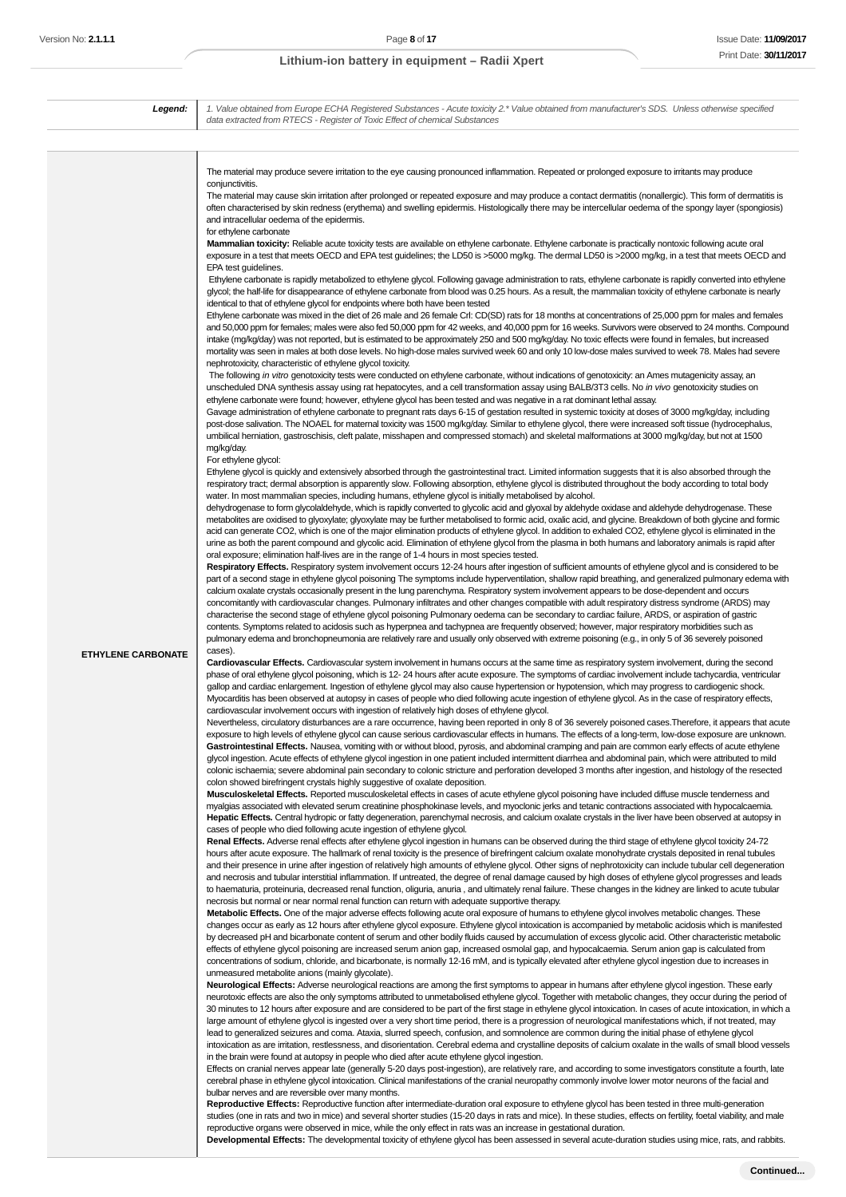**Legend:** 1. Value obtained from Europe ECHA Registered Substances - Acute toxicity 2.\* Value obtained from manufacturer's SDS. Unless otherwise specified data extracted from RTECS - Register of Toxic Effect of chemical Substances **ETHYLENE CARBONATE** The material may produce severe irritation to the eye causing pronounced inflammation. Repeated or prolonged exposure to irritants may produce conjunctivitis The material may cause skin irritation after prolonged or repeated exposure and may produce a contact dermatitis (nonallergic). This form of dermatitis is often characterised by skin redness (erythema) and swelling epidermis. Histologically there may be intercellular oedema of the spongy layer (spongiosis) and intracellular oedema of the epidermis. for ethylene carbonate **Mammalian toxicity:** Reliable acute toxicity tests are available on ethylene carbonate. Ethylene carbonate is practically nontoxic following acute oral exposure in a test that meets OECD and EPA test guidelines; the LD50 is >5000 mg/kg. The dermal LD50 is >2000 mg/kg, in a test that meets OECD and EPA test guidelines. Ethylene carbonate is rapidly metabolized to ethylene glycol. Following gavage administration to rats, ethylene carbonate is rapidly converted into ethylene glycol; the half-life for disappearance of ethylene carbonate from blood was 0.25 hours. As a result, the mammalian toxicity of ethylene carbonate is nearly identical to that of ethylene glycol for endpoints where both have been tested Ethylene carbonate was mixed in the diet of 26 male and 26 female Crl: CD(SD) rats for 18 months at concentrations of 25,000 ppm for males and females and 50,000 ppm for females; males were also fed 50,000 ppm for 42 weeks, and 40,000 ppm for 16 weeks. Survivors were observed to 24 months. Compound intake (mg/kg/day) was not reported, but is estimated to be approximately 250 and 500 mg/kg/day. No toxic effects were found in females, but increased mortality was seen in males at both dose levels. No high-dose males survived week 60 and only 10 low-dose males survived to week 78. Males had severe nephrotoxicity, characteristic of ethylene glycol toxicity. The following in vitro genotoxicity tests were conducted on ethylene carbonate, without indications of genotoxicity: an Ames mutagenicity assay, an unscheduled DNA synthesis assay using rat hepatocytes, and a cell transformation assay using BALB/3T3 cells. No in vivo genotoxicity studies on ethylene carbonate were found; however, ethylene glycol has been tested and was negative in a rat dominant lethal assay. Gavage administration of ethylene carbonate to pregnant rats days 6-15 of gestation resulted in systemic toxicity at doses of 3000 mg/kg/day, including post-dose salivation. The NOAEL for maternal toxicity was 1500 mg/kg/day. Similar to ethylene glycol, there were increased soft tissue (hydrocephalus, umbilical herniation, gastroschisis, cleft palate, misshapen and compressed stomach) and skeletal malformations at 3000 mg/kg/day, but not at 1500 mg/kg/day. For ethylene glycol: Ethylene glycol is quickly and extensively absorbed through the gastrointestinal tract. Limited information suggests that it is also absorbed through the respiratory tract; dermal absorption is apparently slow. Following absorption, ethylene glycol is distributed throughout the body according to total body water. In most mammalian species, including humans, ethylene glycol is initially metabolised by alcohol. dehydrogenase to form glycolaldehyde, which is rapidly converted to glycolic acid and glyoxal by aldehyde oxidase and aldehyde dehydrogenase. These metabolites are oxidised to glyoxylate; glyoxylate may be further metabolised to formic acid, oxalic acid, and glycine. Breakdown of both glycine and formic acid can generate CO2, which is one of the major elimination products of ethylene glycol. In addition to exhaled CO2, ethylene glycol is eliminated in the urine as both the parent compound and glycolic acid. Elimination of ethylene glycol from the plasma in both humans and laboratory animals is rapid after oral exposure; elimination half-lives are in the range of 1-4 hours in most species tested. **Respiratory Effects.** Respiratory system involvement occurs 12-24 hours after ingestion of sufficient amounts of ethylene glycol and is considered to be part of a second stage in ethylene glycol poisoning The symptoms include hyperventilation, shallow rapid breathing, and generalized pulmonary edema with calcium oxalate crystals occasionally present in the lung parenchyma. Respiratory system involvement appears to be dose-dependent and occurs concomitantly with cardiovascular changes. Pulmonary infiltrates and other changes compatible with adult respiratory distress syndrome (ARDS) may characterise the second stage of ethylene glycol poisoning Pulmonary oedema can be secondary to cardiac failure, ARDS, or aspiration of gastric contents. Symptoms related to acidosis such as hyperpnea and tachypnea are frequently observed; however, major respiratory morbidities such as pulmonary edema and bronchopneumonia are relatively rare and usually only observed with extreme poisoning (e.g., in only 5 of 36 severely poisoned cases). **Cardiovascular Effects.** Cardiovascular system involvement in humans occurs at the same time as respiratory system involvement, during the second phase of oral ethylene glycol poisoning, which is 12- 24 hours after acute exposure. The symptoms of cardiac involvement include tachycardia, ventricular gallop and cardiac enlargement. Ingestion of ethylene glycol may also cause hypertension or hypotension, which may progress to cardiogenic shock. Myocarditis has been observed at autopsy in cases of people who died following acute ingestion of ethylene glycol. As in the case of respiratory effects, cardiovascular involvement occurs with ingestion of relatively high doses of ethylene glycol. Nevertheless, circulatory disturbances are a rare occurrence, having been reported in only 8 of 36 severely poisoned cases.Therefore, it appears that acute exposure to high levels of ethylene glycol can cause serious cardiovascular effects in humans. The effects of a long-term, low-dose exposure are unknown. Gastrointestinal Effects. Nausea, vomiting with or without blood, pyrosis, and abdominal cramping and pain are common early effects of acute ethylene glycol ingestion. Acute effects of ethylene glycol ingestion in one patient included intermittent diarrhea and abdominal pain, which were attributed to mild colonic ischaemia; severe abdominal pain secondary to colonic stricture and perforation developed 3 months after ingestion, and histology of the resected colon showed birefringent crystals highly suggestive of oxalate deposition. **Musculoskeletal Effects.** Reported musculoskeletal effects in cases of acute ethylene glycol poisoning have included diffuse muscle tenderness and myalgias associated with elevated serum creatinine phosphokinase levels, and myoclonic jerks and tetanic contractions associated with hypocalcaemia. **Hepatic Effects.** Central hydropic or fatty degeneration, parenchymal necrosis, and calcium oxalate crystals in the liver have been observed at autopsy in cases of people who died following acute ingestion of ethylene glycol. **Renal Effects.** Adverse renal effects after ethylene glycol ingestion in humans can be observed during the third stage of ethylene glycol toxicity 24-72 hours after acute exposure. The hallmark of renal toxicity is the presence of birefringent calcium oxalate monohydrate crystals deposited in renal tubules and their presence in urine after ingestion of relatively high amounts of ethylene glycol. Other signs of nephrotoxicity can include tubular cell degeneration and necrosis and tubular interstitial inflammation. If untreated, the degree of renal damage caused by high doses of ethylene glycol progresses and leads to haematuria, proteinuria, decreased renal function, oliguria, anuria , and ultimately renal failure. These changes in the kidney are linked to acute tubular necrosis but normal or near normal renal function can return with adequate supportive therapy. **Metabolic Effects.** One of the major adverse effects following acute oral exposure of humans to ethylene glycol involves metabolic changes. These changes occur as early as 12 hours after ethylene glycol exposure. Ethylene glycol intoxication is accompanied by metabolic acidosis which is manifested by decreased pH and bicarbonate content of serum and other bodily fluids caused by accumulation of excess glycolic acid. Other characteristic metabolic effects of ethylene glycol poisoning are increased serum anion gap, increased osmolal gap, and hypocalcaemia. Serum anion gap is calculated from concentrations of sodium, chloride, and bicarbonate, is normally 12-16 mM, and is typically elevated after ethylene glycol ingestion due to increases in unmeasured metabolite anions (mainly glycolate). **Neurological Effects:** Adverse neurological reactions are among the first symptoms to appear in humans after ethylene glycol ingestion. These early neurotoxic effects are also the only symptoms attributed to unmetabolised ethylene glycol. Together with metabolic changes, they occur during the period of 30 minutes to 12 hours after exposure and are considered to be part of the first stage in ethylene glycol intoxication. In cases of acute intoxication, in which a large amount of ethylene glycol is ingested over a very short time period, there is a progression of neurological manifestations which, if not treated, may lead to generalized seizures and coma. Ataxia, slurred speech, confusion, and somnolence are common during the initial phase of ethylene glycol intoxication as are irritation, restlessness, and disorientation. Cerebral edema and crystalline deposits of calcium oxalate in the walls of small blood vessels in the brain were found at autopsy in people who died after acute ethylene glycol ingestion. Effects on cranial nerves appear late (generally 5-20 days post-ingestion), are relatively rare, and according to some investigators constitute a fourth, late cerebral phase in ethylene glycol intoxication. Clinical manifestations of the cranial neuropathy commonly involve lower motor neurons of the facial and bulbar nerves and are reversible over many months. **Reproductive Effects:** Reproductive function after intermediate-duration oral exposure to ethylene glycol has been tested in three multi-generation studies (one in rats and two in mice) and several shorter studies (15-20 days in rats and mice). In these studies, effects on fertility, foetal viability, and male reproductive organs were observed in mice, while the only effect in rats was an increase in gestational duration. **Developmental Effects:** The developmental toxicity of ethylene glycol has been assessed in several acute-duration studies using mice, rats, and rabbits.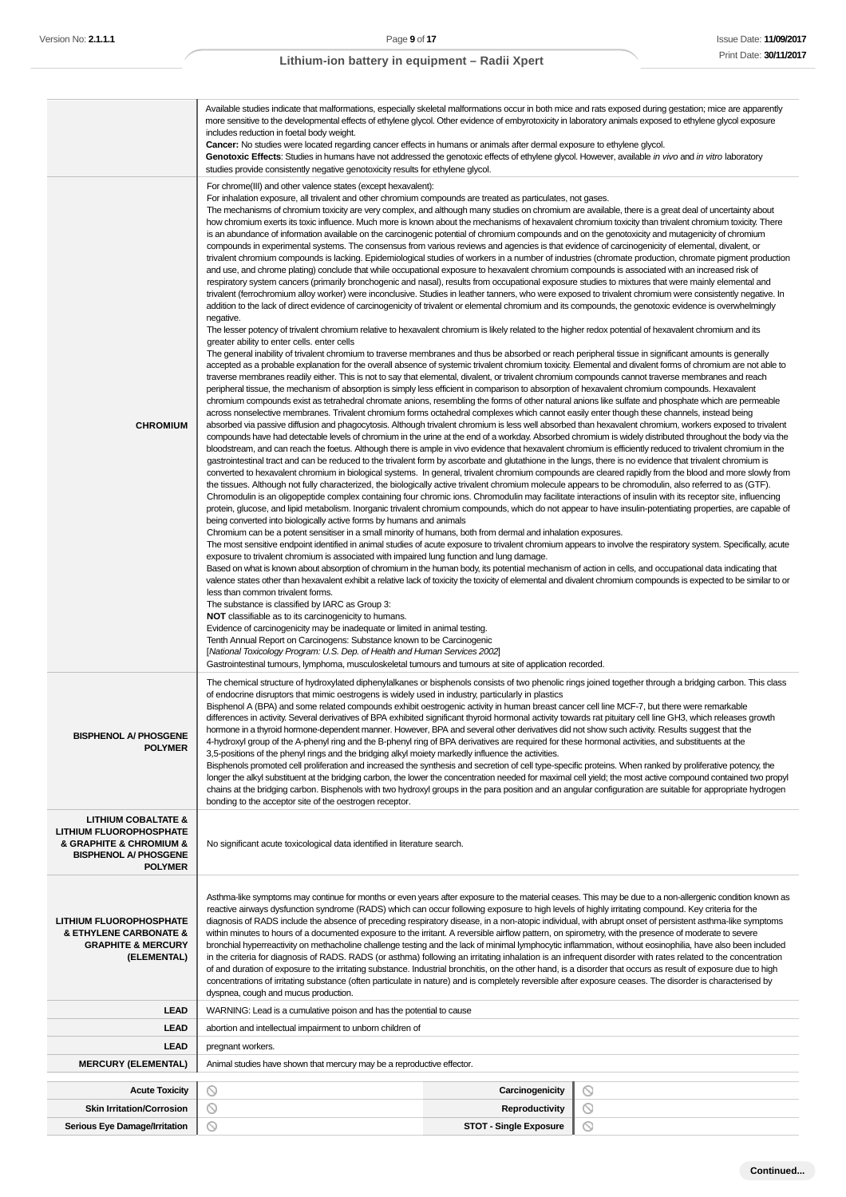|                                                                                                                                               | Available studies indicate that malformations, especially skeletal malformations occur in both mice and rats exposed during gestation; mice are apparently<br>more sensitive to the developmental effects of ethylene glycol. Other evidence of embyrotoxicity in laboratory animals exposed to ethylene glycol exposure<br>includes reduction in foetal body weight.<br>Cancer: No studies were located regarding cancer effects in humans or animals after dermal exposure to ethylene glycol.                                                                                                                                                                                                                                                                                                                                                                                                                                                                                                                                                                                                                                                                                                                                                                                                                                                                                                                                                                                                                                                                                                                                                                                                                                                                                                                                                                                                                                                                                                                                                                                                                                                                                                                                                                                                                                                                                                                                                                                                                                                                                                                                                                                                                                                                                                                                                                                                                                                                                                                                                                                                                                                                                                                                                                                                                                                                                                                                                                                                                                                                                                                                                                                                                                                                                                                                                                                                                                                                                                                                                                                                                                                                                                                                                                                                                                                                                                                                                                                                                                                                                                                                                                                                                                                                                                                                                                                                                                                                                                                                                                                                                                                                                                                                                                                                                                                                                                     |         |  |  |  |
|-----------------------------------------------------------------------------------------------------------------------------------------------|------------------------------------------------------------------------------------------------------------------------------------------------------------------------------------------------------------------------------------------------------------------------------------------------------------------------------------------------------------------------------------------------------------------------------------------------------------------------------------------------------------------------------------------------------------------------------------------------------------------------------------------------------------------------------------------------------------------------------------------------------------------------------------------------------------------------------------------------------------------------------------------------------------------------------------------------------------------------------------------------------------------------------------------------------------------------------------------------------------------------------------------------------------------------------------------------------------------------------------------------------------------------------------------------------------------------------------------------------------------------------------------------------------------------------------------------------------------------------------------------------------------------------------------------------------------------------------------------------------------------------------------------------------------------------------------------------------------------------------------------------------------------------------------------------------------------------------------------------------------------------------------------------------------------------------------------------------------------------------------------------------------------------------------------------------------------------------------------------------------------------------------------------------------------------------------------------------------------------------------------------------------------------------------------------------------------------------------------------------------------------------------------------------------------------------------------------------------------------------------------------------------------------------------------------------------------------------------------------------------------------------------------------------------------------------------------------------------------------------------------------------------------------------------------------------------------------------------------------------------------------------------------------------------------------------------------------------------------------------------------------------------------------------------------------------------------------------------------------------------------------------------------------------------------------------------------------------------------------------------------------------------------------------------------------------------------------------------------------------------------------------------------------------------------------------------------------------------------------------------------------------------------------------------------------------------------------------------------------------------------------------------------------------------------------------------------------------------------------------------------------------------------------------------------------------------------------------------------------------------------------------------------------------------------------------------------------------------------------------------------------------------------------------------------------------------------------------------------------------------------------------------------------------------------------------------------------------------------------------------------------------------------------------------------------------------------------------------------------------------------------------------------------------------------------------------------------------------------------------------------------------------------------------------------------------------------------------------------------------------------------------------------------------------------------------------------------------------------------------------------------------------------------------------------------------------------------------------------------------------------------------------------------------------------------------------------------------------------------------------------------------------------------------------------------------------------------------------------------------------------------------------------------------------------------------------------------------------------------------------------------------------------------------------------------------------------------------------------------------------------------------------------------|---------|--|--|--|
|                                                                                                                                               | Genotoxic Effects: Studies in humans have not addressed the genotoxic effects of ethylene glycol. However, available in vivo and in vitro laboratory<br>studies provide consistently negative genotoxicity results for ethylene glycol.                                                                                                                                                                                                                                                                                                                                                                                                                                                                                                                                                                                                                                                                                                                                                                                                                                                                                                                                                                                                                                                                                                                                                                                                                                                                                                                                                                                                                                                                                                                                                                                                                                                                                                                                                                                                                                                                                                                                                                                                                                                                                                                                                                                                                                                                                                                                                                                                                                                                                                                                                                                                                                                                                                                                                                                                                                                                                                                                                                                                                                                                                                                                                                                                                                                                                                                                                                                                                                                                                                                                                                                                                                                                                                                                                                                                                                                                                                                                                                                                                                                                                                                                                                                                                                                                                                                                                                                                                                                                                                                                                                                                                                                                                                                                                                                                                                                                                                                                                                                                                                                                                                                                                              |         |  |  |  |
| <b>CHROMIUM</b>                                                                                                                               | For chrome(III) and other valence states (except hexavalent):<br>For inhalation exposure, all trivalent and other chromium compounds are treated as particulates, not gases.<br>The mechanisms of chromium toxicity are very complex, and although many studies on chromium are available, there is a great deal of uncertainty about<br>how chromium exerts its toxic influence. Much more is known about the mechanisms of hexavalent chromium toxicity than trivalent chromium toxicity. There<br>is an abundance of information available on the carcinogenic potential of chromium compounds and on the genotoxicity and mutagenicity of chromium<br>compounds in experimental systems. The consensus from various reviews and agencies is that evidence of carcinogenicity of elemental, divalent, or<br>trivalent chromium compounds is lacking. Epidemiological studies of workers in a number of industries (chromate production, chromate pigment production<br>and use, and chrome plating) conclude that while occupational exposure to hexavalent chromium compounds is associated with an increased risk of<br>respiratory system cancers (primarily bronchogenic and nasal), results from occupational exposure studies to mixtures that were mainly elemental and<br>trivalent (ferrochromium alloy worker) were inconclusive. Studies in leather tanners, who were exposed to trivalent chromium were consistently negative. In<br>addition to the lack of direct evidence of carcinogenicity of trivalent or elemental chromium and its compounds, the genotoxic evidence is overwhelmingly<br>negative.<br>The lesser potency of trivalent chromium relative to hexavalent chromium is likely related to the higher redox potential of hexavalent chromium and its<br>greater ability to enter cells. enter cells<br>The general inability of trivalent chromium to traverse membranes and thus be absorbed or reach peripheral tissue in significant amounts is generally<br>accepted as a probable explanation for the overall absence of systemic trivalent chromium toxicity. Elemental and divalent forms of chromium are not able to<br>traverse membranes readily either. This is not to say that elemental, divalent, or trivalent chromium compounds cannot traverse membranes and reach<br>peripheral tissue, the mechanism of absorption is simply less efficient in comparison to absorption of hexavalent chromium compounds. Hexavalent<br>chromium compounds exist as tetrahedral chromate anions, resembling the forms of other natural anions like sulfate and phosphate which are permeable<br>across nonselective membranes. Trivalent chromium forms octahedral complexes which cannot easily enter though these channels, instead being<br>absorbed via passive diffusion and phagocytosis. Although trivalent chromium is less well absorbed than hexavalent chromium, workers exposed to trivalent<br>compounds have had detectable levels of chromium in the urine at the end of a workday. Absorbed chromium is widely distributed throughout the body via the<br>bloodstream, and can reach the foetus. Although there is ample in vivo evidence that hexavalent chromium is efficiently reduced to trivalent chromium in the<br>gastrointestinal tract and can be reduced to the trivalent form by ascorbate and glutathione in the lungs, there is no evidence that trivalent chromium is<br>converted to hexavalent chromium in biological systems. In general, trivalent chromium compounds are cleared rapidly from the blood and more slowly from<br>the tissues. Although not fully characterized, the biologically active trivalent chromium molecule appears to be chromodulin, also referred to as (GTF).<br>Chromodulin is an oligopeptide complex containing four chromic ions. Chromodulin may facilitate interactions of insulin with its receptor site, influencing<br>protein, glucose, and lipid metabolism. Inorganic trivalent chromium compounds, which do not appear to have insulin-potentiating properties, are capable of<br>being converted into biologically active forms by humans and animals<br>Chromium can be a potent sensitiser in a small minority of humans, both from dermal and inhalation exposures.<br>The most sensitive endpoint identified in animal studies of acute exposure to trivalent chromium appears to involve the respiratory system. Specifically, acute<br>exposure to trivalent chromium is associated with impaired lung function and lung damage.<br>Based on what is known about absorption of chromium in the human body, its potential mechanism of action in cells, and occupational data indicating that<br>valence states other than hexavalent exhibit a relative lack of toxicity the toxicity of elemental and divalent chromium compounds is expected to be similar to or<br>less than common trivalent forms.<br>The substance is classified by IARC as Group 3:<br><b>NOT</b> classifiable as to its carcinogenicity to humans.<br>Evidence of carcinogenicity may be inadequate or limited in animal testing.<br>Tenth Annual Report on Carcinogens: Substance known to be Carcinogenic<br>[National Toxicology Program: U.S. Dep. of Health and Human Services 2002]<br>Gastrointestinal tumours, lymphoma, musculoskeletal tumours and tumours at site of application recorded. |         |  |  |  |
| <b>BISPHENOL A/ PHOSGENE</b><br><b>POLYMER</b>                                                                                                | The chemical structure of hydroxylated diphenylalkanes or bisphenols consists of two phenolic rings joined together through a bridging carbon. This class<br>of endocrine disruptors that mimic oestrogens is widely used in industry, particularly in plastics<br>Bisphenol A (BPA) and some related compounds exhibit oestrogenic activity in human breast cancer cell line MCF-7, but there were remarkable<br>differences in activity. Several derivatives of BPA exhibited significant thyroid hormonal activity towards rat pituitary cell line GH3, which releases growth<br>hormone in a thyroid hormone-dependent manner. However, BPA and several other derivatives did not show such activity. Results suggest that the<br>4-hydroxyl group of the A-phenyl ring and the B-phenyl ring of BPA derivatives are required for these hormonal activities, and substituents at the<br>3,5-positions of the phenyl rings and the bridging alkyl moiety markedly influence the activities.<br>Bisphenols promoted cell proliferation and increased the synthesis and secretion of cell type-specific proteins. When ranked by proliferative potency, the<br>longer the alkyl substituent at the bridging carbon, the lower the concentration needed for maximal cell yield; the most active compound contained two propyl<br>chains at the bridging carbon. Bisphenols with two hydroxyl groups in the para position and an angular configuration are suitable for appropriate hydrogen<br>bonding to the acceptor site of the oestrogen receptor.                                                                                                                                                                                                                                                                                                                                                                                                                                                                                                                                                                                                                                                                                                                                                                                                                                                                                                                                                                                                                                                                                                                                                                                                                                                                                                                                                                                                                                                                                                                                                                                                                                                                                                                                                                                                                                                                                                                                                                                                                                                                                                                                                                                                                                                                                                                                                                                                                                                                                                                                                                                                                                                                                                                                                                                                                                                                                                                                                                                                                                                                                                                                                                                                                                                                                                                                                                                                                                                                                                                                                                                                                                                                                                                                                                                                                                               |         |  |  |  |
| <b>LITHIUM COBALTATE &amp;</b><br><b>LITHIUM FLUOROPHOSPHATE</b><br>& GRAPHITE & CHROMIUM &<br><b>BISPHENOL A/ PHOSGENE</b><br><b>POLYMER</b> | No significant acute toxicological data identified in literature search.                                                                                                                                                                                                                                                                                                                                                                                                                                                                                                                                                                                                                                                                                                                                                                                                                                                                                                                                                                                                                                                                                                                                                                                                                                                                                                                                                                                                                                                                                                                                                                                                                                                                                                                                                                                                                                                                                                                                                                                                                                                                                                                                                                                                                                                                                                                                                                                                                                                                                                                                                                                                                                                                                                                                                                                                                                                                                                                                                                                                                                                                                                                                                                                                                                                                                                                                                                                                                                                                                                                                                                                                                                                                                                                                                                                                                                                                                                                                                                                                                                                                                                                                                                                                                                                                                                                                                                                                                                                                                                                                                                                                                                                                                                                                                                                                                                                                                                                                                                                                                                                                                                                                                                                                                                                                                                                             |         |  |  |  |
| <b>LITHIUM FLUOROPHOSPHATE</b><br><b>&amp; ETHYLENE CARBONATE &amp;</b><br><b>GRAPHITE &amp; MERCURY</b><br>(ELEMENTAL)                       | Asthma-like symptoms may continue for months or even years after exposure to the material ceases. This may be due to a non-allergenic condition known as<br>reactive airways dysfunction syndrome (RADS) which can occur following exposure to high levels of highly irritating compound. Key criteria for the<br>diagnosis of RADS include the absence of preceding respiratory disease, in a non-atopic individual, with abrupt onset of persistent asthma-like symptoms<br>within minutes to hours of a documented exposure to the irritant. A reversible airflow pattern, on spirometry, with the presence of moderate to severe<br>bronchial hyperreactivity on methacholine challenge testing and the lack of minimal lymphocytic inflammation, without eosinophilia, have also been included<br>in the criteria for diagnosis of RADS. RADS (or asthma) following an irritating inhalation is an infrequent disorder with rates related to the concentration<br>of and duration of exposure to the irritating substance. Industrial bronchitis, on the other hand, is a disorder that occurs as result of exposure due to high<br>concentrations of irritating substance (often particulate in nature) and is completely reversible after exposure ceases. The disorder is characterised by<br>dyspnea, cough and mucus production.                                                                                                                                                                                                                                                                                                                                                                                                                                                                                                                                                                                                                                                                                                                                                                                                                                                                                                                                                                                                                                                                                                                                                                                                                                                                                                                                                                                                                                                                                                                                                                                                                                                                                                                                                                                                                                                                                                                                                                                                                                                                                                                                                                                                                                                                                                                                                                                                                                                                                                                                                                                                                                                                                                                                                                                                                                                                                                                                                                                                                                                                                                                                                                                                                                                                                                                                                                                                                                                                                                                                                                                                                                                                                                                                                                                                                                                                                                                                                                                                                                                           |         |  |  |  |
| <b>LEAD</b>                                                                                                                                   | WARNING: Lead is a cumulative poison and has the potential to cause                                                                                                                                                                                                                                                                                                                                                                                                                                                                                                                                                                                                                                                                                                                                                                                                                                                                                                                                                                                                                                                                                                                                                                                                                                                                                                                                                                                                                                                                                                                                                                                                                                                                                                                                                                                                                                                                                                                                                                                                                                                                                                                                                                                                                                                                                                                                                                                                                                                                                                                                                                                                                                                                                                                                                                                                                                                                                                                                                                                                                                                                                                                                                                                                                                                                                                                                                                                                                                                                                                                                                                                                                                                                                                                                                                                                                                                                                                                                                                                                                                                                                                                                                                                                                                                                                                                                                                                                                                                                                                                                                                                                                                                                                                                                                                                                                                                                                                                                                                                                                                                                                                                                                                                                                                                                                                                                  |         |  |  |  |
| <b>LEAD</b>                                                                                                                                   | abortion and intellectual impairment to unborn children of                                                                                                                                                                                                                                                                                                                                                                                                                                                                                                                                                                                                                                                                                                                                                                                                                                                                                                                                                                                                                                                                                                                                                                                                                                                                                                                                                                                                                                                                                                                                                                                                                                                                                                                                                                                                                                                                                                                                                                                                                                                                                                                                                                                                                                                                                                                                                                                                                                                                                                                                                                                                                                                                                                                                                                                                                                                                                                                                                                                                                                                                                                                                                                                                                                                                                                                                                                                                                                                                                                                                                                                                                                                                                                                                                                                                                                                                                                                                                                                                                                                                                                                                                                                                                                                                                                                                                                                                                                                                                                                                                                                                                                                                                                                                                                                                                                                                                                                                                                                                                                                                                                                                                                                                                                                                                                                                           |         |  |  |  |
| <b>LEAD</b>                                                                                                                                   | pregnant workers.                                                                                                                                                                                                                                                                                                                                                                                                                                                                                                                                                                                                                                                                                                                                                                                                                                                                                                                                                                                                                                                                                                                                                                                                                                                                                                                                                                                                                                                                                                                                                                                                                                                                                                                                                                                                                                                                                                                                                                                                                                                                                                                                                                                                                                                                                                                                                                                                                                                                                                                                                                                                                                                                                                                                                                                                                                                                                                                                                                                                                                                                                                                                                                                                                                                                                                                                                                                                                                                                                                                                                                                                                                                                                                                                                                                                                                                                                                                                                                                                                                                                                                                                                                                                                                                                                                                                                                                                                                                                                                                                                                                                                                                                                                                                                                                                                                                                                                                                                                                                                                                                                                                                                                                                                                                                                                                                                                                    |         |  |  |  |
| <b>MERCURY (ELEMENTAL)</b>                                                                                                                    | Animal studies have shown that mercury may be a reproductive effector.                                                                                                                                                                                                                                                                                                                                                                                                                                                                                                                                                                                                                                                                                                                                                                                                                                                                                                                                                                                                                                                                                                                                                                                                                                                                                                                                                                                                                                                                                                                                                                                                                                                                                                                                                                                                                                                                                                                                                                                                                                                                                                                                                                                                                                                                                                                                                                                                                                                                                                                                                                                                                                                                                                                                                                                                                                                                                                                                                                                                                                                                                                                                                                                                                                                                                                                                                                                                                                                                                                                                                                                                                                                                                                                                                                                                                                                                                                                                                                                                                                                                                                                                                                                                                                                                                                                                                                                                                                                                                                                                                                                                                                                                                                                                                                                                                                                                                                                                                                                                                                                                                                                                                                                                                                                                                                                               |         |  |  |  |
| <b>Acute Toxicity</b>                                                                                                                         | $\circ$<br>Carcinogenicity                                                                                                                                                                                                                                                                                                                                                                                                                                                                                                                                                                                                                                                                                                                                                                                                                                                                                                                                                                                                                                                                                                                                                                                                                                                                                                                                                                                                                                                                                                                                                                                                                                                                                                                                                                                                                                                                                                                                                                                                                                                                                                                                                                                                                                                                                                                                                                                                                                                                                                                                                                                                                                                                                                                                                                                                                                                                                                                                                                                                                                                                                                                                                                                                                                                                                                                                                                                                                                                                                                                                                                                                                                                                                                                                                                                                                                                                                                                                                                                                                                                                                                                                                                                                                                                                                                                                                                                                                                                                                                                                                                                                                                                                                                                                                                                                                                                                                                                                                                                                                                                                                                                                                                                                                                                                                                                                                                           | $\circ$ |  |  |  |
| <b>Skin Irritation/Corrosion</b>                                                                                                              | $\circ$<br>Reproductivity                                                                                                                                                                                                                                                                                                                                                                                                                                                                                                                                                                                                                                                                                                                                                                                                                                                                                                                                                                                                                                                                                                                                                                                                                                                                                                                                                                                                                                                                                                                                                                                                                                                                                                                                                                                                                                                                                                                                                                                                                                                                                                                                                                                                                                                                                                                                                                                                                                                                                                                                                                                                                                                                                                                                                                                                                                                                                                                                                                                                                                                                                                                                                                                                                                                                                                                                                                                                                                                                                                                                                                                                                                                                                                                                                                                                                                                                                                                                                                                                                                                                                                                                                                                                                                                                                                                                                                                                                                                                                                                                                                                                                                                                                                                                                                                                                                                                                                                                                                                                                                                                                                                                                                                                                                                                                                                                                                            | $\circ$ |  |  |  |
| <b>Serious Eye Damage/Irritation</b>                                                                                                          | ∾<br><b>STOT - Single Exposure</b>                                                                                                                                                                                                                                                                                                                                                                                                                                                                                                                                                                                                                                                                                                                                                                                                                                                                                                                                                                                                                                                                                                                                                                                                                                                                                                                                                                                                                                                                                                                                                                                                                                                                                                                                                                                                                                                                                                                                                                                                                                                                                                                                                                                                                                                                                                                                                                                                                                                                                                                                                                                                                                                                                                                                                                                                                                                                                                                                                                                                                                                                                                                                                                                                                                                                                                                                                                                                                                                                                                                                                                                                                                                                                                                                                                                                                                                                                                                                                                                                                                                                                                                                                                                                                                                                                                                                                                                                                                                                                                                                                                                                                                                                                                                                                                                                                                                                                                                                                                                                                                                                                                                                                                                                                                                                                                                                                                   | N       |  |  |  |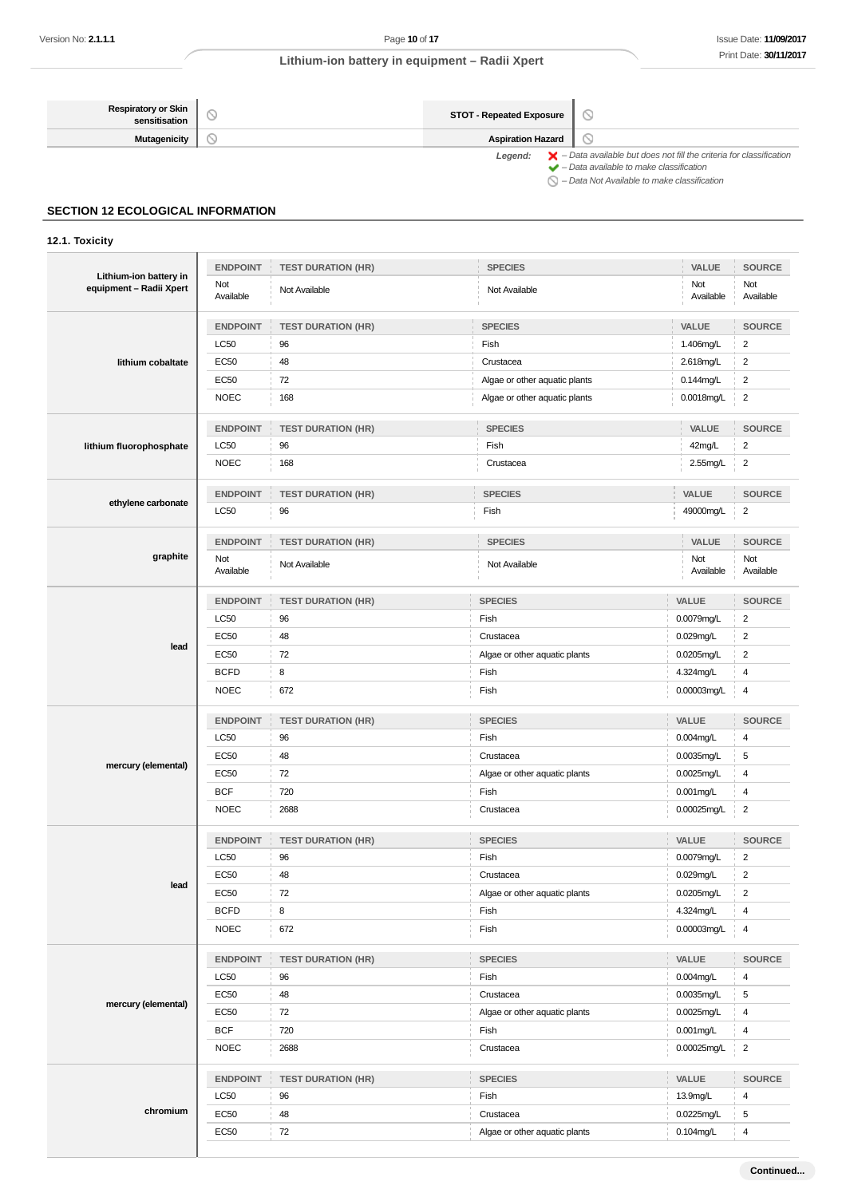| <b>Respiratory or Skin</b><br>sensitisation | <b>STOT - Repeated Exposure</b> |                                                                                                                                                           |  |  |
|---------------------------------------------|---------------------------------|-----------------------------------------------------------------------------------------------------------------------------------------------------------|--|--|
| <b>Mutagenicity</b>                         | <b>Aspiration Hazard</b>        |                                                                                                                                                           |  |  |
|                                             | Leaend:                         | $\blacktriangleright$ - Data available but does not fill the criteria for classification<br>$\blacktriangleright$ - Data available to make classification |  |  |
|                                             |                                 | $\bigcirc$ - Data Not Available to make classification                                                                                                    |  |  |

## **SECTION 12 ECOLOGICAL INFORMATION**

## **12.1. Toxicity**

| Lithium-ion battery in  | <b>ENDPOINT</b>  | <b>TEST DURATION (HR)</b> | <b>SPECIES</b>                | VALUE            | <b>SOURCE</b>           |
|-------------------------|------------------|---------------------------|-------------------------------|------------------|-------------------------|
| equipment - Radii Xpert | Not<br>Available | Not Available             | Not Available                 | Not<br>Available | Not<br>Available        |
|                         | <b>ENDPOINT</b>  | <b>TEST DURATION (HR)</b> | <b>SPECIES</b>                | VALUE            | <b>SOURCE</b>           |
|                         | LC50             | 96                        | Fish                          | 1.406mg/L        | $\overline{c}$          |
| lithium cobaltate       | <b>EC50</b>      | 48                        | Crustacea                     | 2.618mg/L        | $\overline{\mathbf{c}}$ |
|                         | <b>EC50</b>      | 72                        | Algae or other aquatic plants | 0.144mg/L        | $\overline{\mathbf{c}}$ |
|                         | <b>NOEC</b>      | 168                       | Algae or other aquatic plants | 0.0018mg/L       | 2                       |
|                         | <b>ENDPOINT</b>  | <b>TEST DURATION (HR)</b> | <b>SPECIES</b>                | VALUE            | SOURCE                  |
| lithium fluorophosphate | LC50             | 96                        | Fish                          | 42mg/L           | $\overline{c}$          |
|                         | <b>NOEC</b>      | 168                       | Crustacea                     | $2.55$ mg/L      | $\overline{\mathbf{c}}$ |
| ethylene carbonate      | <b>ENDPOINT</b>  | <b>TEST DURATION (HR)</b> | <b>SPECIES</b>                | VALUE            | <b>SOURCE</b>           |
|                         | LC50             | 96                        | Fish                          | 49000mg/L        | 2                       |
|                         | <b>ENDPOINT</b>  | <b>TEST DURATION (HR)</b> | <b>SPECIES</b>                | VALUE            | <b>SOURCE</b>           |
| graphite                | Not<br>Available | Not Available             | Not Available                 | Not<br>Available | Not<br>Available        |
|                         | <b>ENDPOINT</b>  | <b>TEST DURATION (HR)</b> | <b>SPECIES</b>                | VALUE            | <b>SOURCE</b>           |
|                         | LC50             | 96                        | Fish                          | 0.0079mg/L       | $\overline{\mathbf{c}}$ |
|                         | <b>EC50</b>      | 48                        | Crustacea                     | 0.029mg/L        | $\overline{\mathbf{c}}$ |
| lead                    | EC50             | 72                        | Algae or other aquatic plants | $0.0205$ mg/L    | $\overline{2}$          |
|                         | <b>BCFD</b>      | 8                         | Fish                          | 4.324mg/L        | 4                       |
|                         | <b>NOEC</b>      | 672                       | Fish                          | 0.00003mg/L      | 4                       |
|                         | <b>ENDPOINT</b>  | <b>TEST DURATION (HR)</b> | <b>SPECIES</b>                | VALUE            | <b>SOURCE</b>           |
|                         | LC50             | 96                        | Fish                          | 0.004mg/L        | 4                       |
| mercury (elemental)     | <b>EC50</b>      | 48                        | Crustacea                     | 0.0035mg/L       | 5                       |
|                         | <b>EC50</b>      | 72                        | Algae or other aquatic plants | 0.0025mg/L       | 4                       |
|                         | <b>BCF</b>       | 720                       | Fish                          | 0.001mg/L        | 4                       |
|                         | <b>NOEC</b>      | 2688                      | Crustacea                     | 0.00025mg/L      | $\overline{c}$          |
|                         | <b>ENDPOINT</b>  | <b>TEST DURATION (HR)</b> | <b>SPECIES</b>                | VALUE            | <b>SOURCE</b>           |
|                         | LC50             | 96                        | Fish                          | 0.0079mg/L       | $\overline{2}$          |
| lead                    | EC50             | 48                        | Crustacea                     | 0.029mg/L        | $\overline{c}$          |
|                         | EC50             | 72                        | Algae or other aquatic plants | 0.0205mg/L       | 2                       |
|                         | <b>BCFD</b>      | 8                         | Fish                          | 4.324mg/L        | 4                       |
|                         | <b>NOEC</b>      | 672                       | Fish                          | 0.00003mg/L      | $\overline{4}$          |
|                         | <b>ENDPOINT</b>  | <b>TEST DURATION (HR)</b> | <b>SPECIES</b>                | VALUE            | <b>SOURCE</b>           |
|                         | LC50             | 96                        | Fish                          | 0.004mg/L        | 4                       |
| mercury (elemental)     | <b>EC50</b>      | 48                        | Crustacea                     | 0.0035mg/L       | $\,$ 5 $\,$             |
|                         | <b>EC50</b>      | 72                        | Algae or other aquatic plants | 0.0025mg/L       | 4                       |
|                         | <b>BCF</b>       | 720                       | Fish                          | 0.001mg/L        | 4                       |
|                         | <b>NOEC</b>      | 2688                      | Crustacea                     | 0.00025mg/L      | $\overline{2}$          |
|                         | <b>ENDPOINT</b>  | <b>TEST DURATION (HR)</b> | <b>SPECIES</b>                | VALUE            | <b>SOURCE</b>           |
|                         | LC50             | 96                        | Fish                          | 13.9mg/L         | 4                       |
| chromium                | <b>EC50</b>      | 48                        | Crustacea                     | 0.0225mg/L       | 5                       |
|                         | <b>EC50</b>      | 72                        | Algae or other aquatic plants | 0.104mg/L        | $\overline{\mathbf{4}}$ |
|                         |                  |                           |                               |                  |                         |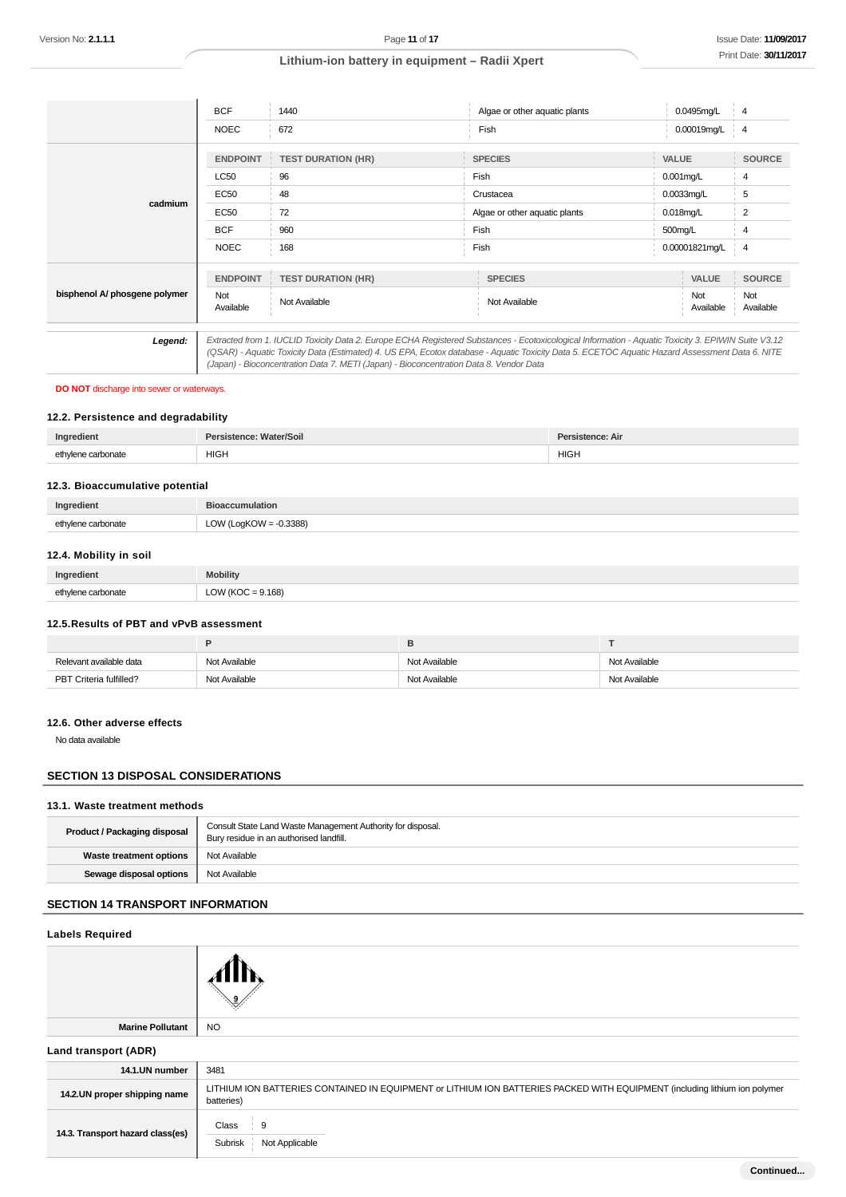|                               | <b>BCF</b>       | 1440                                                                                                                                                                                                                                                                                                  | Algae or other aquatic plants |              | 0.0495mg/L       | 4                |
|-------------------------------|------------------|-------------------------------------------------------------------------------------------------------------------------------------------------------------------------------------------------------------------------------------------------------------------------------------------------------|-------------------------------|--------------|------------------|------------------|
|                               | <b>NOEC</b>      | 672                                                                                                                                                                                                                                                                                                   | Fish                          |              | 0.00019mg/L      | $\overline{4}$   |
|                               | <b>ENDPOINT</b>  | <b>TEST DURATION (HR)</b>                                                                                                                                                                                                                                                                             | <b>SPECIES</b>                | <b>VALUE</b> |                  | <b>SOURCE</b>    |
|                               | LC50             | 96                                                                                                                                                                                                                                                                                                    | Fish                          |              | $0.001$ mg/L     | 4                |
| cadmium                       | <b>EC50</b>      | 48                                                                                                                                                                                                                                                                                                    | Crustacea                     |              | 0.0033mg/L       | 5                |
|                               | EC50             | 72                                                                                                                                                                                                                                                                                                    | Algae or other aquatic plants |              | $0.018$ mg/L     | 2                |
|                               | <b>BCF</b>       | 960                                                                                                                                                                                                                                                                                                   | Fish                          | 500mg/L      |                  | 4                |
|                               | <b>NOEC</b>      | 168                                                                                                                                                                                                                                                                                                   | Fish                          |              | 0.00001821mg/L   | $\overline{4}$   |
|                               | <b>ENDPOINT</b>  | <b>TEST DURATION (HR)</b>                                                                                                                                                                                                                                                                             | <b>SPECIES</b>                |              | <b>VALUE</b>     | <b>SOURCE</b>    |
| bisphenol A/ phosgene polymer | Not<br>Available | Not Available                                                                                                                                                                                                                                                                                         | Not Available                 |              | Not<br>Available | Not<br>Available |
|                               |                  |                                                                                                                                                                                                                                                                                                       |                               |              |                  |                  |
| Legend:                       |                  | Extracted from 1. IUCLID Toxicity Data 2. Europe ECHA Registered Substances - Ecotoxicological Information - Aquatic Toxicity 3. EPIWIN Suite V3.12<br>(QSAR) - Aquatic Toxicity Data (Estimated) 4. US EPA, Ecotox database - Aquatic Toxicity Data 5. ECETOC Aquatic Hazard Assessment Data 6. NITE |                               |              |                  |                  |

(Japan) - Bioconcentration Data 7. METI (Japan) - Bioconcentration Data 8. Vendor Data

### **DO NOT** discharge into sewer or waterways.

### **12.2. Persistence and degradability**

| Ingredient         | Persistence: Water/Soil | Persistence: Air |
|--------------------|-------------------------|------------------|
| ethvlene carbonate | <b>HIGH</b>             | <b>HIGH</b>      |

#### **12.3. Bioaccumulative potential**

| Ingredient         | <b>Bioaccumulation</b>    |
|--------------------|---------------------------|
| ethylene carbonate | LOW (LogKOW = $-0.3388$ ) |

### **12.4. Mobility in soil**

| Ingredient         | <b>Mobility</b>      |
|--------------------|----------------------|
| ethylene carbonate | LOW (KOC = $9.168$ ) |

#### **12.5.Results of PBT and vPvB assessment**

|                         |               | -             |               |
|-------------------------|---------------|---------------|---------------|
| Relevant available data | Not Available | Not Available | Not Available |
| PBT Criteria fulfilled? | Not Available | Not Available | Not Available |

### **12.6. Other adverse effects**

No data available

## **SECTION 13 DISPOSAL CONSIDERATIONS**

#### **13.1. Waste treatment methods**

| <b>Product / Packaging disposal</b> | Consult State Land Waste Management Authority for disposal.<br>Bury residue in an authorised landfill. |
|-------------------------------------|--------------------------------------------------------------------------------------------------------|
| Waste treatment options             | Not Available                                                                                          |
| Sewage disposal options             | Not Available                                                                                          |

## **SECTION 14 TRANSPORT INFORMATION**

| <b>Labels Required</b>           |                                                                                                                                          |
|----------------------------------|------------------------------------------------------------------------------------------------------------------------------------------|
|                                  |                                                                                                                                          |
| <b>Marine Pollutant</b>          | <b>NO</b>                                                                                                                                |
| Land transport (ADR)             |                                                                                                                                          |
| 14.1.UN number                   | 3481                                                                                                                                     |
| 14.2.UN proper shipping name     | LITHIUM ION BATTERIES CONTAINED IN EQUIPMENT or LITHIUM ION BATTERIES PACKED WITH EQUIPMENT (including lithium ion polymer<br>batteries) |
| 14.3. Transport hazard class(es) | Class<br>9<br>Subrisk<br>Not Applicable                                                                                                  |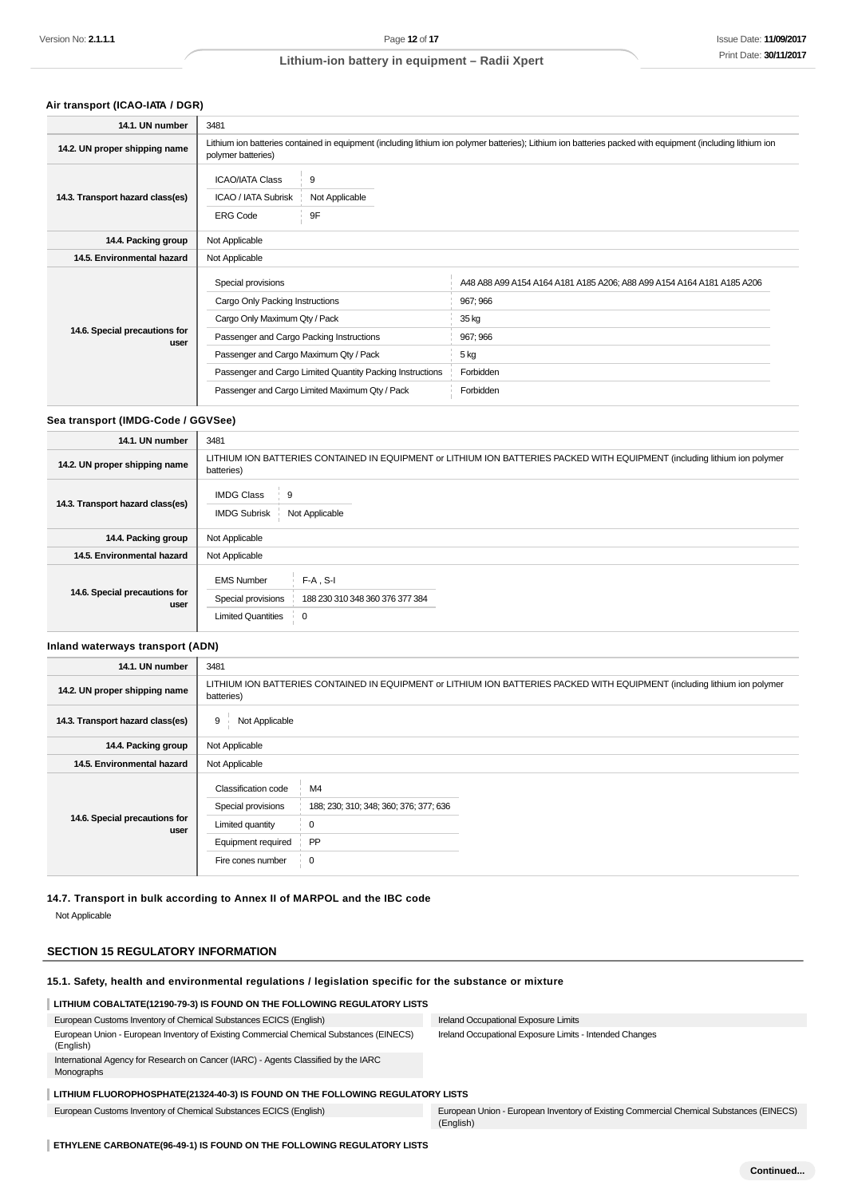## **Air transport (ICAO-IATA / DGR)**

| 14.1. UN number                       | 3481                                           |                                                                                                                                                            |                                                                        |  |
|---------------------------------------|------------------------------------------------|------------------------------------------------------------------------------------------------------------------------------------------------------------|------------------------------------------------------------------------|--|
| 14.2. UN proper shipping name         | polymer batteries)                             | Lithium ion batteries contained in equipment (including lithium ion polymer batteries); Lithium ion batteries packed with equipment (including lithium ion |                                                                        |  |
|                                       | <b>ICAO/IATA Class</b>                         | 9                                                                                                                                                          |                                                                        |  |
| 14.3. Transport hazard class(es)      | ICAO / IATA Subrisk                            | Not Applicable                                                                                                                                             |                                                                        |  |
|                                       | <b>ERG Code</b>                                | 9F                                                                                                                                                         |                                                                        |  |
| 14.4. Packing group                   | Not Applicable                                 |                                                                                                                                                            |                                                                        |  |
| 14.5. Environmental hazard            | Not Applicable                                 |                                                                                                                                                            |                                                                        |  |
|                                       | Special provisions                             |                                                                                                                                                            | A48 A88 A99 A154 A164 A181 A185 A206; A88 A99 A154 A164 A181 A185 A206 |  |
|                                       | Cargo Only Packing Instructions                |                                                                                                                                                            | 967; 966                                                               |  |
|                                       | Cargo Only Maximum Qty / Pack                  |                                                                                                                                                            | 35 kg                                                                  |  |
| 14.6. Special precautions for<br>user | Passenger and Cargo Packing Instructions       |                                                                                                                                                            | 967; 966                                                               |  |
|                                       | Passenger and Cargo Maximum Qty / Pack         |                                                                                                                                                            | 5 kg                                                                   |  |
|                                       |                                                | Passenger and Cargo Limited Quantity Packing Instructions                                                                                                  | Forbidden                                                              |  |
|                                       | Passenger and Cargo Limited Maximum Qty / Pack |                                                                                                                                                            | Forbidden                                                              |  |

### **Sea transport (IMDG-Code / GGVSee)**

| 14.1. UN number                       | 3481                                                                                                                                     |  |  |
|---------------------------------------|------------------------------------------------------------------------------------------------------------------------------------------|--|--|
|                                       |                                                                                                                                          |  |  |
| 14.2. UN proper shipping name         | LITHIUM ION BATTERIES CONTAINED IN EQUIPMENT or LITHIUM ION BATTERIES PACKED WITH EQUIPMENT (including lithium ion polymer<br>batteries) |  |  |
| 14.3. Transport hazard class(es)      | <b>IMDG Class</b><br>9<br><b>IMDG Subrisk</b><br>Not Applicable                                                                          |  |  |
| 14.4. Packing group                   | Not Applicable                                                                                                                           |  |  |
| 14.5. Environmental hazard            | Not Applicable                                                                                                                           |  |  |
| 14.6. Special precautions for<br>user | <b>EMS Number</b><br>$F-A$ , S-I<br>Special provisions<br>188 230 310 348 360 376 377 384<br><b>Limited Quantities</b><br>0              |  |  |

#### **Inland waterways transport (ADN)**

| 14.1. UN number                       | 3481                                                                                                                                     |                                                                        |  |
|---------------------------------------|------------------------------------------------------------------------------------------------------------------------------------------|------------------------------------------------------------------------|--|
| 14.2. UN proper shipping name         | LITHIUM ION BATTERIES CONTAINED IN EQUIPMENT or LITHIUM ION BATTERIES PACKED WITH EQUIPMENT (including lithium ion polymer<br>batteries) |                                                                        |  |
| 14.3. Transport hazard class(es)      | 9<br>Not Applicable                                                                                                                      |                                                                        |  |
| 14.4. Packing group                   | Not Applicable                                                                                                                           |                                                                        |  |
| 14.5. Environmental hazard            | Not Applicable                                                                                                                           |                                                                        |  |
| 14.6. Special precautions for<br>user | Classification code<br>Special provisions<br>Limited quantity<br>Equipment required<br>Fire cones number                                 | M4<br>188; 230; 310; 348; 360; 376; 377; 636<br>0<br>PP<br>$\mathbf 0$ |  |

**14.7. Transport in bulk according to Annex II of MARPOL and the IBC code**

Not Applicable

## **SECTION 15 REGULATORY INFORMATION**

#### **15.1. Safety, health and environmental regulations / legislation specific for the substance or mixture**

### **LITHIUM COBALTATE(12190-79-3) IS FOUND ON THE FOLLOWING REGULATORY LISTS**

| European Customs Inventory of Chemical Substances ECICS (English)                                    | Ireland Occupational Exposure Limits                                                                 |
|------------------------------------------------------------------------------------------------------|------------------------------------------------------------------------------------------------------|
| European Union - European Inventory of Existing Commercial Chemical Substances (EINECS)<br>(English) | Ireland Occupational Exposure Limits - Intended Changes                                              |
| International Agency for Research on Cancer (IARC) - Agents Classified by the IARC<br>Monographs     |                                                                                                      |
| LITHIUM FLUOROPHOSPHATE(21324-40-3) IS FOUND ON THE FOLLOWING REGULATORY LISTS                       |                                                                                                      |
| European Customs Inventory of Chemical Substances ECICS (English)                                    | European Union - European Inventory of Existing Commercial Chemical Substances (EINECS)<br>(English) |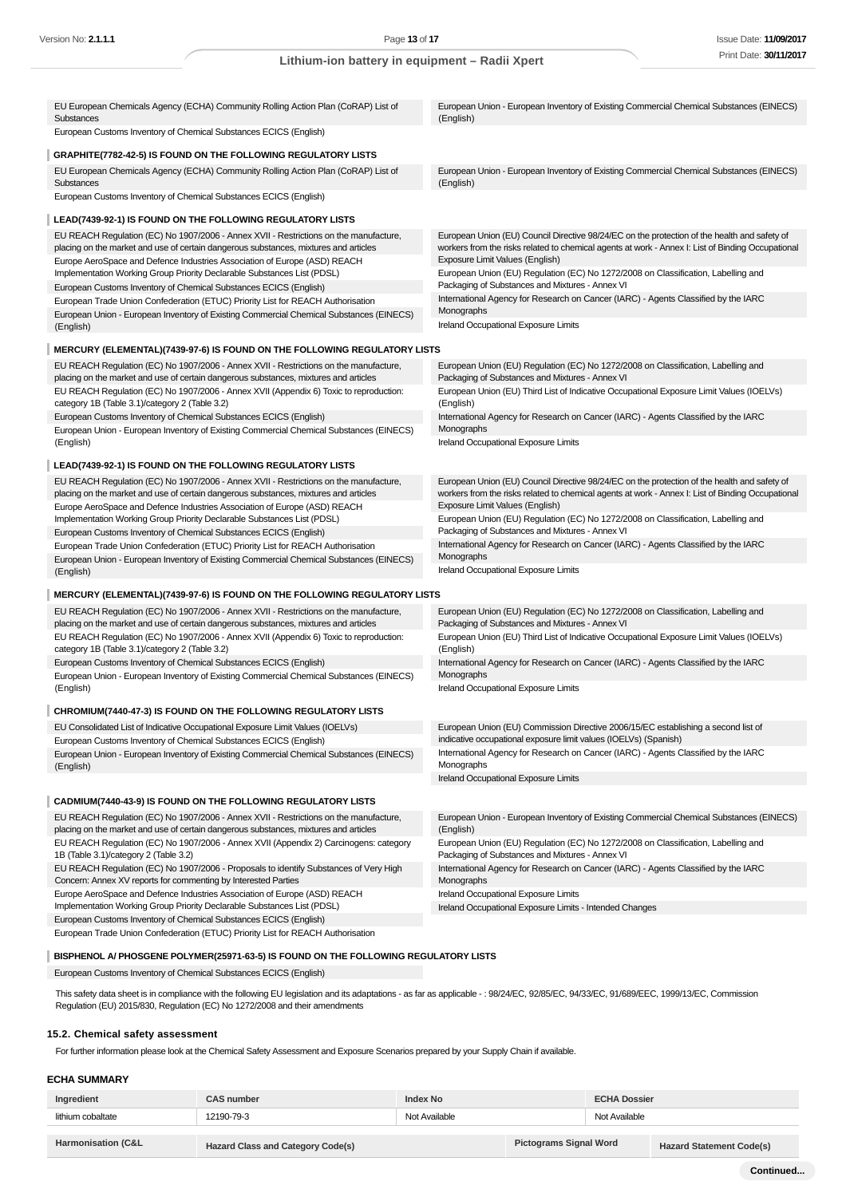| EU European Chemicals Agency (ECHA) Community Rolling Action Plan (CoRAP) List of<br>Substances                                                                               | European Union - European Inventory of Existing Commercial Chemical Substances (EINECS)<br>(English)                                 |
|-------------------------------------------------------------------------------------------------------------------------------------------------------------------------------|--------------------------------------------------------------------------------------------------------------------------------------|
| European Customs Inventory of Chemical Substances ECICS (English)                                                                                                             |                                                                                                                                      |
| GRAPHITE(7782-42-5) IS FOUND ON THE FOLLOWING REGULATORY LISTS                                                                                                                |                                                                                                                                      |
| EU European Chemicals Agency (ECHA) Community Rolling Action Plan (CoRAP) List of<br>Substances                                                                               | European Union - European Inventory of Existing Commercial Chemical Substances (EINECS)<br>(English)                                 |
| European Customs Inventory of Chemical Substances ECICS (English)                                                                                                             |                                                                                                                                      |
| LEAD(7439-92-1) IS FOUND ON THE FOLLOWING REGULATORY LISTS                                                                                                                    |                                                                                                                                      |
| EU REACH Regulation (EC) No 1907/2006 - Annex XVII - Restrictions on the manufacture,                                                                                         | European Union (EU) Council Directive 98/24/EC on the protection of the health and safety of                                         |
| placing on the market and use of certain dangerous substances, mixtures and articles                                                                                          | workers from the risks related to chemical agents at work - Annex I: List of Binding Occupational<br>Exposure Limit Values (English) |
| Europe AeroSpace and Defence Industries Association of Europe (ASD) REACH<br>Implementation Working Group Priority Declarable Substances List (PDSL)                          | European Union (EU) Regulation (EC) No 1272/2008 on Classification, Labelling and                                                    |
| European Customs Inventory of Chemical Substances ECICS (English)                                                                                                             | Packaging of Substances and Mixtures - Annex VI                                                                                      |
| European Trade Union Confederation (ETUC) Priority List for REACH Authorisation                                                                                               | International Agency for Research on Cancer (IARC) - Agents Classified by the IARC<br>Monographs                                     |
| European Union - European Inventory of Existing Commercial Chemical Substances (EINECS)<br>(English)                                                                          | Ireland Occupational Exposure Limits                                                                                                 |
|                                                                                                                                                                               |                                                                                                                                      |
| MERCURY (ELEMENTAL)(7439-97-6) IS FOUND ON THE FOLLOWING REGULATORY LISTS<br>EU REACH Regulation (EC) No 1907/2006 - Annex XVII - Restrictions on the manufacture,            | European Union (EU) Regulation (EC) No 1272/2008 on Classification, Labelling and                                                    |
| placing on the market and use of certain dangerous substances, mixtures and articles                                                                                          | Packaging of Substances and Mixtures - Annex VI                                                                                      |
| EU REACH Regulation (EC) No 1907/2006 - Annex XVII (Appendix 6) Toxic to reproduction:<br>category 1B (Table 3.1)/category 2 (Table 3.2)                                      | European Union (EU) Third List of Indicative Occupational Exposure Limit Values (IOELVs)<br>(English)                                |
| European Customs Inventory of Chemical Substances ECICS (English)                                                                                                             | International Agency for Research on Cancer (IARC) - Agents Classified by the IARC                                                   |
| European Union - European Inventory of Existing Commercial Chemical Substances (EINECS)<br>(English)                                                                          | Monographs<br>Ireland Occupational Exposure Limits                                                                                   |
|                                                                                                                                                                               |                                                                                                                                      |
| LEAD(7439-92-1) IS FOUND ON THE FOLLOWING REGULATORY LISTS<br>EU REACH Regulation (EC) No 1907/2006 - Annex XVII - Restrictions on the manufacture,                           | European Union (EU) Council Directive 98/24/EC on the protection of the health and safety of                                         |
| placing on the market and use of certain dangerous substances, mixtures and articles                                                                                          | workers from the risks related to chemical agents at work - Annex I: List of Binding Occupational                                    |
| Europe AeroSpace and Defence Industries Association of Europe (ASD) REACH                                                                                                     | Exposure Limit Values (English)                                                                                                      |
| Implementation Working Group Priority Declarable Substances List (PDSL)<br>European Customs Inventory of Chemical Substances ECICS (English)                                  | European Union (EU) Regulation (EC) No 1272/2008 on Classification, Labelling and<br>Packaging of Substances and Mixtures - Annex VI |
| European Trade Union Confederation (ETUC) Priority List for REACH Authorisation                                                                                               | International Agency for Research on Cancer (IARC) - Agents Classified by the IARC                                                   |
| European Union - European Inventory of Existing Commercial Chemical Substances (EINECS)                                                                                       | Monographs<br>Ireland Occupational Exposure Limits                                                                                   |
| (English)                                                                                                                                                                     |                                                                                                                                      |
| <b>MERCURY (ELEMENTAL)(7439-97-6) IS FOUND ON THE FOLLOWING REGULATORY LISTS</b>                                                                                              |                                                                                                                                      |
| EU REACH Regulation (EC) No 1907/2006 - Annex XVII - Restrictions on the manufacture,<br>placing on the market and use of certain dangerous substances, mixtures and articles | European Union (EU) Regulation (EC) No 1272/2008 on Classification, Labelling and<br>Packaging of Substances and Mixtures - Annex VI |
| EU REACH Regulation (EC) No 1907/2006 - Annex XVII (Appendix 6) Toxic to reproduction:<br>category 1B (Table 3.1)/category 2 (Table 3.2)                                      | European Union (EU) Third List of Indicative Occupational Exposure Limit Values (IOELVs)<br>(English)                                |
| European Customs Inventory of Chemical Substances ECICS (English)                                                                                                             | International Agency for Research on Cancer (IARC) - Agents Classified by the IARC                                                   |
| European Union - European Inventory of Existing Commercial Chemical Substances (EINECS)<br>(English)                                                                          | Monographs<br>Ireland Occupational Exposure Limits                                                                                   |
| CHROMIUM(7440-47-3) IS FOUND ON THE FOLLOWING REGULATORY LISTS                                                                                                                |                                                                                                                                      |
| EU Consolidated List of Indicative Occupational Exposure Limit Values (IOELVs)                                                                                                | European Union (EU) Commission Directive 2006/15/EC establishing a second list of                                                    |
| European Customs Inventory of Chemical Substances ECICS (English)                                                                                                             | indicative occupational exposure limit values (IOELVs) (Spanish)                                                                     |
| European Union - European Inventory of Existing Commercial Chemical Substances (EINECS)                                                                                       | International Agency for Research on Cancer (IARC) - Agents Classified by the IARC                                                   |
| (English)                                                                                                                                                                     | Monographs<br>Ireland Occupational Exposure Limits                                                                                   |
|                                                                                                                                                                               |                                                                                                                                      |
| CADMIUM(7440-43-9) IS FOUND ON THE FOLLOWING REGULATORY LISTS                                                                                                                 | European Union - European Inventory of Existing Commercial Chemical Substances (EINECS)                                              |
| EU REACH Regulation (EC) No 1907/2006 - Annex XVII - Restrictions on the manufacture,<br>placing on the market and use of certain dangerous substances, mixtures and articles | (English)                                                                                                                            |
| EU REACH Regulation (EC) No 1907/2006 - Annex XVII (Appendix 2) Carcinogens: category<br>1B (Table 3.1)/category 2 (Table 3.2)                                                | European Union (EU) Regulation (EC) No 1272/2008 on Classification, Labelling and<br>Packaging of Substances and Mixtures - Annex VI |
| EU REACH Regulation (EC) No 1907/2006 - Proposals to identify Substances of Very High                                                                                         | International Agency for Research on Cancer (IARC) - Agents Classified by the IARC                                                   |
|                                                                                                                                                                               |                                                                                                                                      |
| Concern: Annex XV reports for commenting by Interested Parties                                                                                                                | Monographs                                                                                                                           |
| Europe AeroSpace and Defence Industries Association of Europe (ASD) REACH<br>Implementation Working Group Priority Declarable Substances List (PDSL)                          | Ireland Occupational Exposure Limits<br>Ireland Occupational Exposure Limits - Intended Changes                                      |
| European Customs Inventory of Chemical Substances ECICS (English)                                                                                                             |                                                                                                                                      |
| European Trade Union Confederation (ETUC) Priority List for REACH Authorisation                                                                                               |                                                                                                                                      |
| BISPHENOL A/ PHOSGENE POLYMER(25971-63-5) IS FOUND ON THE FOLLOWING REGULATORY LISTS                                                                                          |                                                                                                                                      |

This safety data sheet is in compliance with the following EU legislation and its adaptations - as far as applicable - : 98/24/EC, 92/85/EC, 94/33/EC, 91/689/EEC, 1999/13/EC, Commission Regulation (EU) 2015/830, Regulation (EC) No 1272/2008 and their amendments

### **15.2. Chemical safety assessment**

For further information please look at the Chemical Safety Assessment and Exposure Scenarios prepared by your Supply Chain if available.

#### **ECHA SUMMARY**

| Ingredient                    | <b>CAS number</b>                 | Index No      |                               | <b>ECHA Dossier</b> |                                 |  |
|-------------------------------|-----------------------------------|---------------|-------------------------------|---------------------|---------------------------------|--|
| lithium cobaltate             | 12190-79-3                        | Not Available |                               | Not Available       |                                 |  |
|                               |                                   |               |                               |                     |                                 |  |
| <b>Harmonisation (C&amp;L</b> | Hazard Class and Category Code(s) |               | <b>Pictograms Signal Word</b> |                     | <b>Hazard Statement Code(s)</b> |  |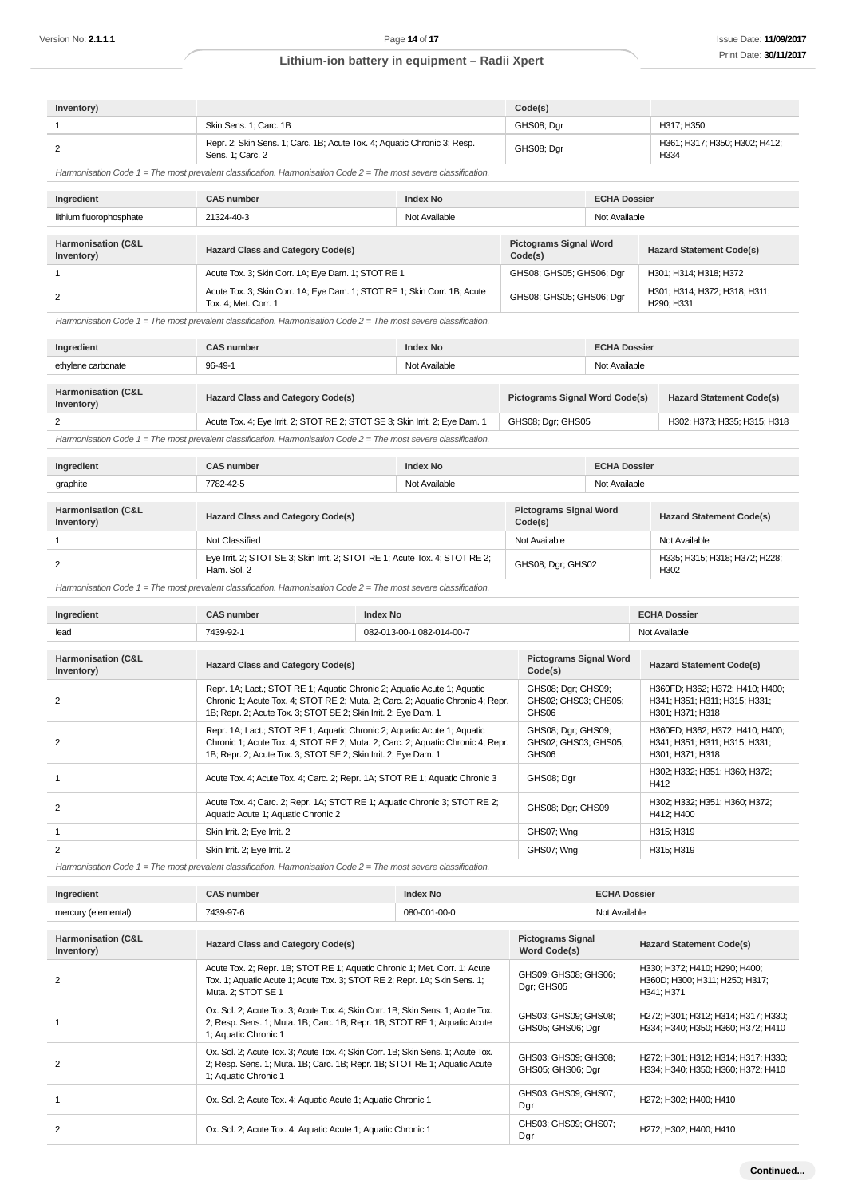| Inventory)                                  |                                                                                                                                                                                                                              |                 |                                                     | Code(s)                                    |                     |                                                                                      |                                                                  |
|---------------------------------------------|------------------------------------------------------------------------------------------------------------------------------------------------------------------------------------------------------------------------------|-----------------|-----------------------------------------------------|--------------------------------------------|---------------------|--------------------------------------------------------------------------------------|------------------------------------------------------------------|
| 1                                           | Skin Sens. 1; Carc. 1B                                                                                                                                                                                                       |                 |                                                     | GHS08; Dgr                                 |                     |                                                                                      | H317; H350                                                       |
| 2                                           | Repr. 2; Skin Sens. 1; Carc. 1B; Acute Tox. 4; Aquatic Chronic 3; Resp.<br>Sens. 1; Carc. 2                                                                                                                                  |                 | GHS08; Dgr                                          |                                            |                     | H361; H317; H350; H302; H412;<br>H334                                                |                                                                  |
|                                             | Harmonisation Code $1 =$ The most prevalent classification. Harmonisation Code $2 =$ The most severe classification.                                                                                                         |                 |                                                     |                                            |                     |                                                                                      |                                                                  |
| Ingredient                                  | <b>CAS number</b>                                                                                                                                                                                                            |                 | <b>Index No</b>                                     |                                            | <b>ECHA Dossier</b> |                                                                                      |                                                                  |
| lithium fluorophosphate                     | 21324-40-3                                                                                                                                                                                                                   |                 | Not Available                                       |                                            | Not Available       |                                                                                      |                                                                  |
| <b>Harmonisation (C&amp;L</b><br>Inventory) | <b>Hazard Class and Category Code(s)</b>                                                                                                                                                                                     |                 | Code(s)                                             | <b>Pictograms Signal Word</b>              |                     | <b>Hazard Statement Code(s)</b>                                                      |                                                                  |
| $\mathbf{1}$                                | Acute Tox. 3; Skin Corr. 1A; Eye Dam. 1; STOT RE 1                                                                                                                                                                           |                 |                                                     | GHS08; GHS05; GHS06; Dgr                   |                     |                                                                                      | H301; H314; H318; H372                                           |
| $\overline{2}$                              | Acute Tox. 3; Skin Corr. 1A; Eye Dam. 1; STOT RE 1; Skin Corr. 1B; Acute<br>Tox. 4; Met. Corr. 1                                                                                                                             |                 |                                                     | GHS08; GHS05; GHS06; Dgr                   |                     |                                                                                      | H301; H314; H372; H318; H311;<br>H290; H331                      |
|                                             | Harmonisation Code $1$ = The most prevalent classification. Harmonisation Code $2$ = The most severe classification.                                                                                                         |                 |                                                     |                                            |                     |                                                                                      |                                                                  |
| Ingredient                                  | <b>CAS number</b>                                                                                                                                                                                                            |                 | <b>Index No</b>                                     |                                            | <b>ECHA Dossier</b> |                                                                                      |                                                                  |
| ethylene carbonate                          | 96-49-1                                                                                                                                                                                                                      | Not Available   |                                                     |                                            | Not Available       |                                                                                      |                                                                  |
| Harmonisation (C&L<br>Inventory)            | <b>Hazard Class and Category Code(s)</b>                                                                                                                                                                                     |                 |                                                     | <b>Pictograms Signal Word Code(s)</b>      |                     | <b>Hazard Statement Code(s)</b>                                                      |                                                                  |
| 2                                           | Acute Tox. 4; Eye Irrit. 2; STOT RE 2; STOT SE 3; Skin Irrit. 2; Eye Dam. 1                                                                                                                                                  |                 | GHS08; Dgr; GHS05                                   |                                            |                     | H302; H373; H335; H315; H318                                                         |                                                                  |
|                                             | Harmonisation Code $1$ = The most prevalent classification. Harmonisation Code $2$ = The most severe classification.                                                                                                         |                 |                                                     |                                            |                     |                                                                                      |                                                                  |
| Ingredient                                  | <b>CAS number</b>                                                                                                                                                                                                            |                 | <b>Index No</b>                                     |                                            | <b>ECHA Dossier</b> |                                                                                      |                                                                  |
| graphite                                    | 7782-42-5                                                                                                                                                                                                                    |                 | Not Available                                       | Not Available                              |                     |                                                                                      |                                                                  |
| Harmonisation (C&L<br>Inventory)            | <b>Hazard Class and Category Code(s)</b>                                                                                                                                                                                     |                 | Code(s)                                             | <b>Pictograms Signal Word</b>              |                     | <b>Hazard Statement Code(s)</b>                                                      |                                                                  |
| 1                                           | Not Classified                                                                                                                                                                                                               |                 |                                                     | Not Available                              |                     |                                                                                      | Not Available                                                    |
| 2                                           | Eye Irrit. 2; STOT SE 3; Skin Irrit. 2; STOT RE 1; Acute Tox. 4; STOT RE 2;<br>Flam. Sol. 2                                                                                                                                  |                 |                                                     | GHS08; Dgr; GHS02                          |                     |                                                                                      | H335; H315; H318; H372; H228;<br>H <sub>302</sub>                |
|                                             | Harmonisation Code $1$ = The most prevalent classification. Harmonisation Code $2$ = The most severe classification.                                                                                                         |                 |                                                     |                                            |                     |                                                                                      |                                                                  |
| Ingredient                                  | <b>CAS number</b>                                                                                                                                                                                                            | <b>Index No</b> |                                                     |                                            |                     |                                                                                      | <b>ECHA Dossier</b>                                              |
| lead                                        | 7439-92-1<br>082-013-00-1 082-014-00-7                                                                                                                                                                                       |                 |                                                     |                                            |                     | Not Available                                                                        |                                                                  |
| Harmonisation (C&L<br>Inventory)            | <b>Hazard Class and Category Code(s)</b>                                                                                                                                                                                     |                 |                                                     | <b>Pictograms Signal Word</b><br>Code(s)   |                     |                                                                                      | <b>Hazard Statement Code(s)</b>                                  |
| 2                                           | Repr. 1A; Lact.; STOT RE 1; Aquatic Chronic 2; Aquatic Acute 1; Aquatic<br>Chronic 1; Acute Tox. 4; STOT RE 2; Muta. 2; Carc. 2; Aquatic Chronic 4; Repr.<br>1B; Repr. 2; Acute Tox. 3; STOT SE 2; Skin Irrit. 2; Eye Dam. 1 |                 | GHS08; Dgr; GHS09;<br>GHS02; GHS03; GHS05;<br>GHS06 |                                            |                     | H360FD; H362; H372; H410; H400;<br>H341; H351; H311; H315; H331;<br>H301; H371; H318 |                                                                  |
| $\overline{2}$                              | Repr. 1A; Lact.; STOT RE 1; Aquatic Chronic 2; Aquatic Acute 1; Aquatic<br>Chronic 1; Acute Tox. 4; STOT RE 2; Muta. 2; Carc. 2; Aquatic Chronic 4; Repr.                                                                    |                 |                                                     | GHS08; Dgr; GHS09;<br>GHS02; GHS03; GHS05; |                     |                                                                                      | H360FD; H362; H372; H410; H400;<br>H341; H351; H311; H315; H331; |

|   | 1B; Repr. 2; Acute Tox. 3; STOT SE 2; Skin Irrit. 2; Eye Dam. 1                                                 | GHS06             | H301: H371: H318                            |
|---|-----------------------------------------------------------------------------------------------------------------|-------------------|---------------------------------------------|
|   | Acute Tox. 4; Acute Tox. 4; Carc. 2; Repr. 1A; STOT RE 1; Aquatic Chronic 3                                     | GHS08; Dgr        | H302; H332; H351; H360; H372;<br>H412       |
| 2 | Acute Tox. 4; Carc. 2; Repr. 1A; STOT RE 1; Aquatic Chronic 3; STOT RE 2;<br>Aquatic Acute 1; Aquatic Chronic 2 | GHS08; Dgr; GHS09 | H302; H332; H351; H360; H372;<br>H412: H400 |
|   | Skin Irrit. 2; Eye Irrit. 2                                                                                     | GHS07; Wng        | H315: H319                                  |
| 2 | Skin Irrit. 2; Eye Irrit. 2                                                                                     | GHS07; Wng        | H315: H319                                  |

Harmonisation Code 1 = The most prevalent classification. Harmonisation Code 2 = The most severe classification.

| Ingredient                       | <b>CAS number</b>                                                                                                                                                                   | <b>Index No</b> |                                           | <b>ECHA Dossier</b> |                                                                               |
|----------------------------------|-------------------------------------------------------------------------------------------------------------------------------------------------------------------------------------|-----------------|-------------------------------------------|---------------------|-------------------------------------------------------------------------------|
| mercury (elemental)              | 7439-97-6                                                                                                                                                                           | 080-001-00-0    |                                           | Not Available       |                                                                               |
| Harmonisation (C&L<br>Inventory) | <b>Hazard Class and Category Code(s)</b>                                                                                                                                            |                 | <b>Pictograms Signal</b><br>Word Code(s)  |                     | <b>Hazard Statement Code(s)</b>                                               |
| 2                                | Acute Tox. 2; Repr. 1B; STOT RE 1; Aquatic Chronic 1; Met. Corr. 1; Acute<br>Tox. 1; Aquatic Acute 1; Acute Tox. 3; STOT RE 2; Repr. 1A; Skin Sens. 1;<br>Muta. 2; STOT SE 1        |                 | GHS09; GHS08; GHS06;<br>Dar: GHS05        |                     | H330; H372; H410; H290; H400;<br>H360D; H300; H311; H250; H317;<br>H341: H371 |
|                                  | Ox. Sol. 2; Acute Tox. 3; Acute Tox. 4; Skin Corr. 1B; Skin Sens. 1; Acute Tox.<br>2; Resp. Sens. 1; Muta. 1B; Carc. 1B; Repr. 1B; STOT RE 1; Aquatic Acute<br>1; Aquatic Chronic 1 |                 | GHS03; GHS09; GHS08;<br>GHS05; GHS06; Dgr |                     | H272; H301; H312; H314; H317; H330;<br>H334; H340; H350; H360; H372; H410     |
| 2                                | Ox. Sol. 2; Acute Tox. 3; Acute Tox. 4; Skin Corr. 1B; Skin Sens. 1; Acute Tox.<br>2; Resp. Sens. 1; Muta. 1B; Carc. 1B; Repr. 1B; STOT RE 1; Aquatic Acute<br>1; Aquatic Chronic 1 |                 | GHS03; GHS09; GHS08;<br>GHS05; GHS06; Dgr |                     | H272; H301; H312; H314; H317; H330;<br>H334; H340; H350; H360; H372; H410     |
|                                  | Ox. Sol. 2; Acute Tox. 4; Aquatic Acute 1; Aquatic Chronic 1                                                                                                                        |                 | GHS03; GHS09; GHS07;<br>Dgr               |                     | H272: H302: H400: H410                                                        |
| 2                                | Ox. Sol. 2; Acute Tox. 4; Aquatic Acute 1; Aquatic Chronic 1                                                                                                                        |                 | GHS03; GHS09; GHS07;<br>Dgr               |                     | H272; H302; H400; H410                                                        |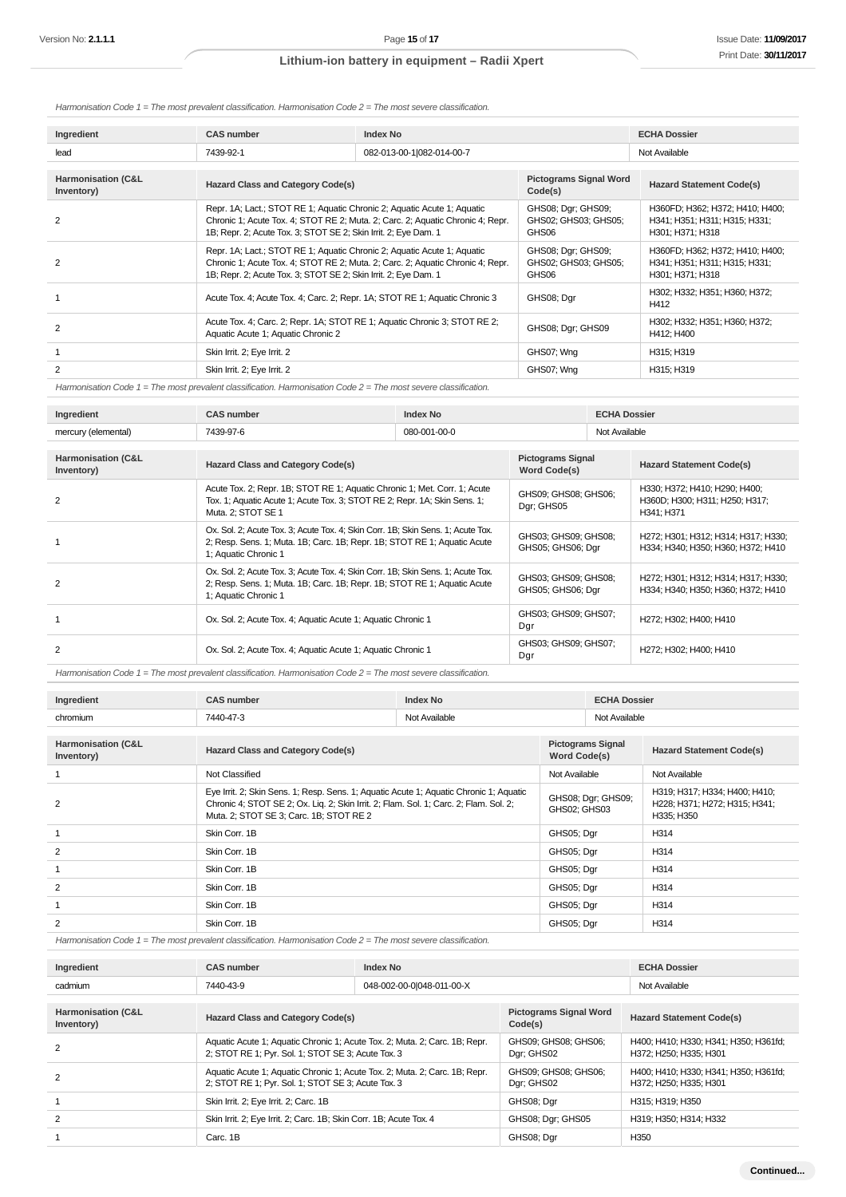Harmonisation Code  $1 =$  The most prevalent classification. Harmonisation Code  $2 =$  The most severe classification.

| Ingredient         | <b>CAS number</b>                                                                                                                                                                                                            | <b>Index No</b>           | <b>ECHA Dossier</b>                                 |                                                                                      |
|--------------------|------------------------------------------------------------------------------------------------------------------------------------------------------------------------------------------------------------------------------|---------------------------|-----------------------------------------------------|--------------------------------------------------------------------------------------|
| lead               | 7439-92-1                                                                                                                                                                                                                    | 082-013-00-1 082-014-00-7 |                                                     | Not Available                                                                        |
| Harmonisation (C&L |                                                                                                                                                                                                                              |                           | <b>Pictograms Signal Word</b>                       |                                                                                      |
| Inventory)         | <b>Hazard Class and Category Code(s)</b>                                                                                                                                                                                     |                           | Code(s)                                             | <b>Hazard Statement Code(s)</b>                                                      |
| 2                  | Repr. 1A; Lact.; STOT RE 1; Aquatic Chronic 2; Aquatic Acute 1; Aquatic<br>Chronic 1; Acute Tox. 4; STOT RE 2; Muta. 2; Carc. 2; Aquatic Chronic 4; Repr.<br>1B; Repr. 2; Acute Tox. 3; STOT SE 2; Skin Irrit. 2; Eye Dam. 1 |                           | GHS08; Dgr; GHS09;<br>GHS02; GHS03; GHS05;<br>GHS06 | H360FD; H362; H372; H410; H400;<br>H341; H351; H311; H315; H331;<br>H301; H371; H318 |
| 2                  | Repr. 1A; Lact.; STOT RE 1; Aquatic Chronic 2; Aquatic Acute 1; Aquatic<br>Chronic 1; Acute Tox. 4; STOT RE 2; Muta. 2; Carc. 2; Aquatic Chronic 4; Repr.<br>1B; Repr. 2; Acute Tox. 3; STOT SE 2; Skin Irrit. 2; Eye Dam. 1 |                           | GHS08; Dgr; GHS09;<br>GHS02; GHS03; GHS05;<br>GHS06 | H360FD; H362; H372; H410; H400;<br>H341; H351; H311; H315; H331;<br>H301; H371; H318 |
|                    | Acute Tox. 4; Acute Tox. 4; Carc. 2; Repr. 1A; STOT RE 1; Aquatic Chronic 3                                                                                                                                                  |                           | GHS08; Dgr                                          | H302; H332; H351; H360; H372;<br>H412                                                |
| 2                  | Acute Tox. 4; Carc. 2; Repr. 1A; STOT RE 1; Aquatic Chronic 3; STOT RE 2;<br>Aquatic Acute 1; Aquatic Chronic 2                                                                                                              |                           | GHS08; Dgr; GHS09                                   | H302; H332; H351; H360; H372;<br>H412; H400                                          |
|                    | Skin Irrit. 2; Eye Irrit. 2                                                                                                                                                                                                  |                           | GHS07; Wng                                          | H315; H319                                                                           |
| 2                  | Skin Irrit. 2; Eye Irrit. 2                                                                                                                                                                                                  |                           | GHS07; Wng                                          | H315; H319                                                                           |
|                    |                                                                                                                                                                                                                              |                           |                                                     |                                                                                      |

Harmonisation Code  $1 =$  The most prevalent classification. Harmonisation Code  $2 =$  The most severe classification.

| Ingredient                                  | <b>CAS number</b>                                                                                                                                                                   | Index No     |                                           | <b>ECHA Dossier</b> |                                                                               |
|---------------------------------------------|-------------------------------------------------------------------------------------------------------------------------------------------------------------------------------------|--------------|-------------------------------------------|---------------------|-------------------------------------------------------------------------------|
| mercury (elemental)                         | 7439-97-6                                                                                                                                                                           | 080-001-00-0 |                                           | Not Available       |                                                                               |
| <b>Harmonisation (C&amp;L</b><br>Inventory) | Hazard Class and Category Code(s)                                                                                                                                                   |              | <b>Pictograms Signal</b><br>Word Code(s)  |                     | <b>Hazard Statement Code(s)</b>                                               |
| 2                                           | Acute Tox. 2; Repr. 1B; STOT RE 1; Aquatic Chronic 1; Met. Corr. 1; Acute<br>Tox. 1; Aquatic Acute 1; Acute Tox. 3; STOT RE 2; Repr. 1A; Skin Sens. 1;<br>Muta. 2; STOT SE 1        |              | GHS09; GHS08; GHS06;<br>Dgr; GHS05        |                     | H330; H372; H410; H290; H400;<br>H360D; H300; H311; H250; H317;<br>H341; H371 |
|                                             | Ox. Sol. 2; Acute Tox. 3; Acute Tox. 4; Skin Corr. 1B; Skin Sens. 1; Acute Tox.<br>2; Resp. Sens. 1; Muta. 1B; Carc. 1B; Repr. 1B; STOT RE 1; Aquatic Acute<br>1; Aquatic Chronic 1 |              | GHS03; GHS09; GHS08;<br>GHS05; GHS06; Dgr |                     | H272; H301; H312; H314; H317; H330;<br>H334; H340; H350; H360; H372; H410     |
| 2                                           | Ox. Sol. 2; Acute Tox. 3; Acute Tox. 4; Skin Corr. 1B; Skin Sens. 1; Acute Tox.<br>2; Resp. Sens. 1; Muta. 1B; Carc. 1B; Repr. 1B; STOT RE 1; Aquatic Acute<br>1; Aquatic Chronic 1 |              | GHS03; GHS09; GHS08;<br>GHS05; GHS06; Dgr |                     | H272; H301; H312; H314; H317; H330;<br>H334; H340; H350; H360; H372; H410     |
|                                             | Ox. Sol. 2; Acute Tox. 4; Aquatic Acute 1; Aquatic Chronic 1                                                                                                                        |              | GHS03; GHS09; GHS07;<br>Dgr               |                     | H272; H302; H400; H410                                                        |
| 2                                           | Ox. Sol. 2; Acute Tox. 4; Aquatic Acute 1; Aquatic Chronic 1                                                                                                                        |              | GHS03; GHS09; GHS07;<br>Dgr               |                     | H272; H302; H400; H410                                                        |

Harmonisation Code 1 = The most prevalent classification. Harmonisation Code 2 = The most severe classification.

| Ingredient                       | <b>CAS number</b>                                                                                                                                                                                                          | <b>Index No</b> |                                    | <b>ECHA Dossier</b>      |                                                                              |
|----------------------------------|----------------------------------------------------------------------------------------------------------------------------------------------------------------------------------------------------------------------------|-----------------|------------------------------------|--------------------------|------------------------------------------------------------------------------|
| chromium                         | 7440-47-3                                                                                                                                                                                                                  | Not Available   |                                    | Not Available            |                                                                              |
|                                  |                                                                                                                                                                                                                            |                 |                                    |                          |                                                                              |
| Harmonisation (C&L<br>Inventory) | <b>Hazard Class and Category Code(s)</b>                                                                                                                                                                                   |                 | Word Code(s)                       | <b>Pictograms Signal</b> | <b>Hazard Statement Code(s)</b>                                              |
|                                  | Not Classified                                                                                                                                                                                                             |                 | Not Available                      |                          | Not Available                                                                |
| 2                                | Eye Irrit. 2; Skin Sens. 1; Resp. Sens. 1; Aquatic Acute 1; Aquatic Chronic 1; Aquatic<br>Chronic 4; STOT SE 2; Ox. Lig. 2; Skin Irrit. 2; Flam. Sol. 1; Carc. 2; Flam. Sol. 2;<br>Muta. 2; STOT SE 3; Carc. 1B; STOT RE 2 |                 | GHS08; Dgr; GHS09;<br>GHS02; GHS03 |                          | H319; H317; H334; H400; H410;<br>H228; H371; H272; H315; H341;<br>H335; H350 |
|                                  | Skin Corr. 1B                                                                                                                                                                                                              |                 | GHS05; Dgr                         |                          | H314                                                                         |
| 2                                | Skin Corr. 1B                                                                                                                                                                                                              |                 | GHS05; Dar                         |                          | H314                                                                         |
|                                  | Skin Corr. 1B                                                                                                                                                                                                              |                 | GHS05; Dgr                         |                          | H314                                                                         |
| 2                                | Skin Corr. 1B                                                                                                                                                                                                              |                 | GHS05; Dgr                         |                          | H314                                                                         |
|                                  | Skin Corr. 1B                                                                                                                                                                                                              |                 | GHS05; Dgr                         |                          | H314                                                                         |
| $\overline{2}$                   | Skin Corr. 1B                                                                                                                                                                                                              |                 | GHS05; Dar                         |                          | H314                                                                         |

Harmonisation Code 1 = The most prevalent classification. Harmonisation Code 2 = The most severe classification.

| Ingredient                                  | <b>CAS number</b>                                                                                                                | Index No                  |                                          | <b>ECHA Dossier</b>                                             |
|---------------------------------------------|----------------------------------------------------------------------------------------------------------------------------------|---------------------------|------------------------------------------|-----------------------------------------------------------------|
| cadmium                                     | 7440-43-9                                                                                                                        | 048-002-00-0 048-011-00-X |                                          | Not Available                                                   |
| <b>Harmonisation (C&amp;L</b><br>Inventory) | <b>Hazard Class and Category Code(s)</b>                                                                                         |                           | <b>Pictograms Signal Word</b><br>Code(s) | <b>Hazard Statement Code(s)</b>                                 |
| 2                                           | Aquatic Acute 1; Aquatic Chronic 1; Acute Tox. 2; Muta. 2; Carc. 1B; Repr.<br>2; STOT RE 1; Pyr. Sol. 1; STOT SE 3; Acute Tox. 3 |                           | GHS09; GHS08; GHS06;<br>Dgr; GHS02       | H400; H410; H330; H341; H350; H361fd;<br>H372; H250; H335; H301 |
| 2                                           | Aquatic Acute 1; Aquatic Chronic 1; Acute Tox. 2; Muta. 2; Carc. 1B; Repr.<br>2; STOT RE 1; Pyr. Sol. 1; STOT SE 3; Acute Tox. 3 |                           | GHS09; GHS08; GHS06;<br>Dar; GHS02       | H400; H410; H330; H341; H350; H361fd;<br>H372; H250; H335; H301 |
|                                             | Skin Irrit. 2; Eye Irrit. 2; Carc. 1B                                                                                            |                           | GHS08; Dar                               | H315: H319: H350                                                |
| 2                                           | Skin Irrit. 2; Eye Irrit. 2; Carc. 1B; Skin Corr. 1B; Acute Tox. 4                                                               |                           | GHS08; Dgr; GHS05                        | H319: H350: H314: H332                                          |
|                                             | Carc. 1B                                                                                                                         |                           | GHS08; Dar                               | H350                                                            |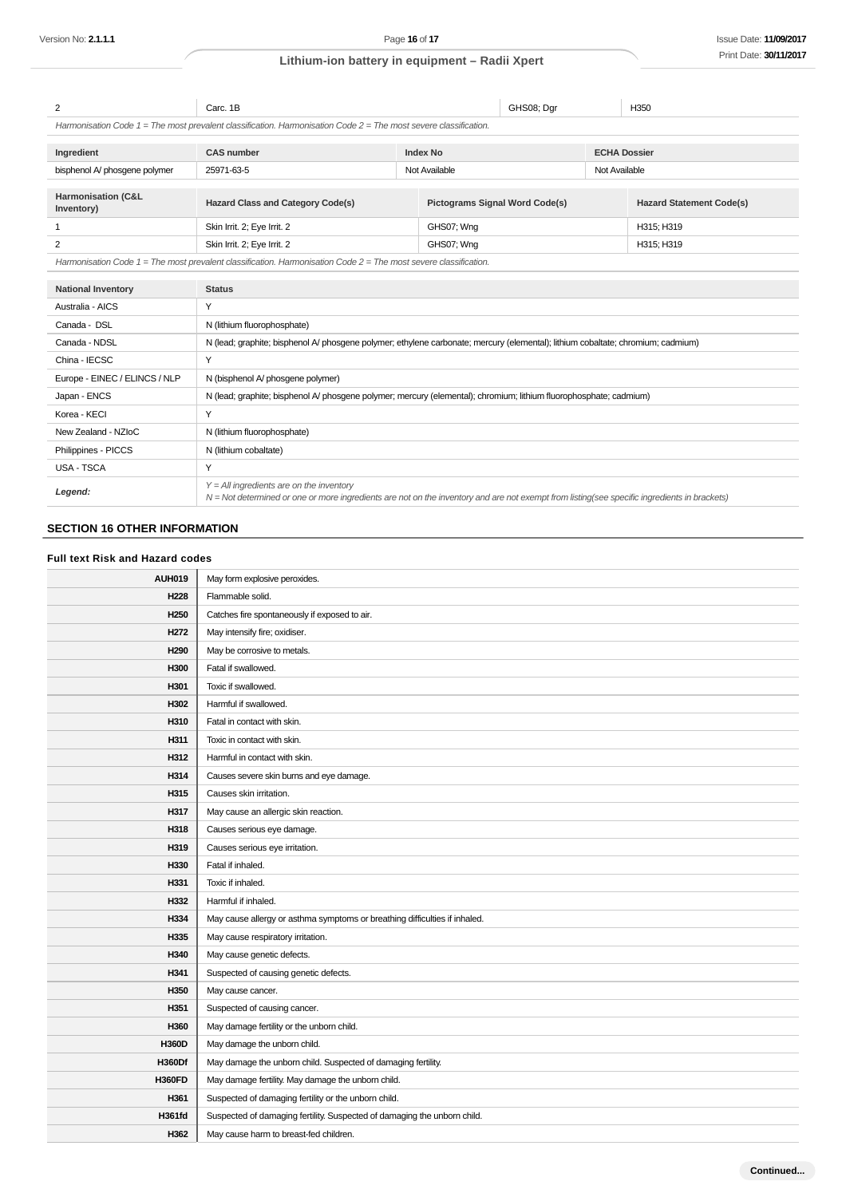| 2                                           | Carc. 1B                                                                                                             |                                                                                                                                  | GHS08; Dar                            | H350                            |
|---------------------------------------------|----------------------------------------------------------------------------------------------------------------------|----------------------------------------------------------------------------------------------------------------------------------|---------------------------------------|---------------------------------|
|                                             | Harmonisation Code $1$ = The most prevalent classification. Harmonisation Code $2$ = The most severe classification. |                                                                                                                                  |                                       |                                 |
| Ingredient                                  | <b>CAS number</b>                                                                                                    | <b>Index No</b>                                                                                                                  |                                       | <b>ECHA Dossier</b>             |
| bisphenol A/ phosgene polymer               | 25971-63-5                                                                                                           | Not Available                                                                                                                    |                                       | Not Available                   |
| <b>Harmonisation (C&amp;L</b><br>Inventory) | <b>Hazard Class and Category Code(s)</b>                                                                             |                                                                                                                                  | <b>Pictograms Signal Word Code(s)</b> | <b>Hazard Statement Code(s)</b> |
| 1                                           | Skin Irrit. 2; Eye Irrit. 2                                                                                          | GHS07; Wng                                                                                                                       |                                       | H315; H319                      |
| 2                                           | Skin Irrit. 2; Eye Irrit. 2                                                                                          | GHS07; Wng                                                                                                                       |                                       | H315; H319                      |
|                                             | Harmonisation Code $1 =$ The most prevalent classification. Harmonisation Code $2 =$ The most severe classification. |                                                                                                                                  |                                       |                                 |
| <b>National Inventory</b>                   | <b>Status</b>                                                                                                        |                                                                                                                                  |                                       |                                 |
| Australia - AICS                            | Y                                                                                                                    |                                                                                                                                  |                                       |                                 |
| Canada - DSL                                | N (lithium fluorophosphate)                                                                                          |                                                                                                                                  |                                       |                                 |
| Canada - NDSL                               |                                                                                                                      | N (lead; graphite; bisphenol A/ phosgene polymer; ethylene carbonate; mercury (elemental); lithium cobaltate; chromium; cadmium) |                                       |                                 |
| China - IECSC                               | Y                                                                                                                    |                                                                                                                                  |                                       |                                 |
| Europe - EINEC / ELINCS / NLP               | N (bisphenol A/ phosgene polymer)                                                                                    |                                                                                                                                  |                                       |                                 |
| Japan - ENCS                                | N (lead; graphite; bisphenol A/ phosgene polymer; mercury (elemental); chromium; lithium fluorophosphate; cadmium)   |                                                                                                                                  |                                       |                                 |
| Korea - KECI                                | Y                                                                                                                    |                                                                                                                                  |                                       |                                 |
| New Zealand - NZIoC                         | N (lithium fluorophosphate)                                                                                          |                                                                                                                                  |                                       |                                 |
| Philippines - PICCS                         | N (lithium cobaltate)                                                                                                |                                                                                                                                  |                                       |                                 |

| USA - TSCA |                                                                                                                                                                                              |
|------------|----------------------------------------------------------------------------------------------------------------------------------------------------------------------------------------------|
| Legend:    | $Y = All$ ingredients are on the inventory<br>$N =$ Not determined or one or more ingredients are not on the inventory and are not exempt from listing(see specific ingredients in brackets) |

## **SECTION 16 OTHER INFORMATION**

#### **Full text Risk and Hazard codes**

| <b>AUH019</b>    | May form explosive peroxides.                                              |
|------------------|----------------------------------------------------------------------------|
| H <sub>228</sub> | Flammable solid.                                                           |
| H <sub>250</sub> | Catches fire spontaneously if exposed to air.                              |
| H <sub>272</sub> | May intensify fire; oxidiser.                                              |
| H <sub>290</sub> | May be corrosive to metals.                                                |
| H300             | Fatal if swallowed.                                                        |
| H301             | Toxic if swallowed.                                                        |
| H302             | Harmful if swallowed.                                                      |
| H310             | Fatal in contact with skin.                                                |
| H311             | Toxic in contact with skin.                                                |
| H312             | Harmful in contact with skin.                                              |
| H314             | Causes severe skin burns and eye damage.                                   |
| H315             | Causes skin irritation.                                                    |
| H317             | May cause an allergic skin reaction.                                       |
| H318             | Causes serious eye damage.                                                 |
| H319             | Causes serious eye irritation.                                             |
| H330             | Fatal if inhaled.                                                          |
| H331             | Toxic if inhaled.                                                          |
| H332             | Harmful if inhaled.                                                        |
| H334             | May cause allergy or asthma symptoms or breathing difficulties if inhaled. |
| H335             | May cause respiratory irritation.                                          |
| H340             | May cause genetic defects.                                                 |
| H341             | Suspected of causing genetic defects.                                      |
| H350             | May cause cancer.                                                          |
| H351             | Suspected of causing cancer.                                               |
| H360             | May damage fertility or the unborn child.                                  |
| <b>H360D</b>     | May damage the unborn child.                                               |
| <b>H360Df</b>    | May damage the unborn child. Suspected of damaging fertility.              |
| <b>H360FD</b>    | May damage fertility. May damage the unborn child.                         |
| H361             | Suspected of damaging fertility or the unborn child.                       |
| <b>H361fd</b>    | Suspected of damaging fertility. Suspected of damaging the unborn child.   |
| H362             | May cause harm to breast-fed children.                                     |